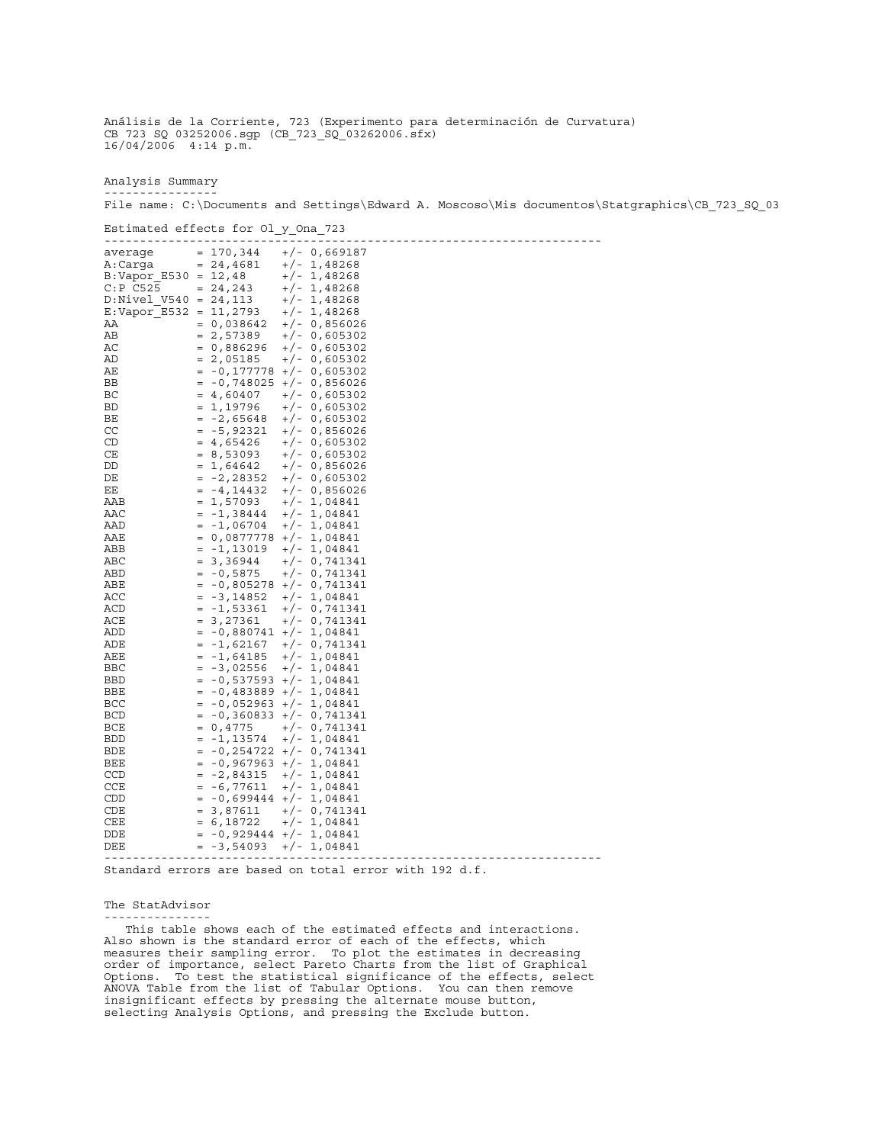Analysis Summary ----------------

File name: C:\Documents and Settings\Edward A. Moscoso\Mis documentos\Statgraphics\CB\_723\_SQ\_03

Estimated effects for Ol\_y\_Ona\_723

| $= 170, 344$<br>$+/- 0,669187$<br>average<br>A:Carga<br>$= 24,4681$<br>$+/- 1,48268$<br>$B:Vapor E530 = 12,48$<br>$+/- 1,48268$<br>$C: P$ $C525$<br>$= 24, 243$<br>$+/- 1,48268$<br>$D:Nivel$ V540 = 24,113<br>$+/- 1,48268$<br>$E:Vapor E532 = 11,2793$<br>$+/- 1,48268$<br>ΑA<br>$= 0,038642$<br>$+/- 0,856026$<br>AВ<br>$= 2,57389$<br>$+/- 0,605302$<br>AС<br>$= 0,886296$<br>$+/- 0,605302$<br>AD<br>$= 2,05185$<br>$+/- 0,605302$<br>AЕ<br>$= -0, 177778$ +/- 0,605302<br>$-0,748025$ +/- 0,856026<br>ВB<br>$=$<br>ВC<br>$= 4,60407$<br>$+/- 0,605302$<br><b>BD</b><br>$= 1,19796$<br>$+/- 0,605302$<br>$+/- 0,605302$<br>ВE<br>$-2,65648$<br>$=$<br>CC<br>$= -5,92321$<br>$+/- 0,856026$<br>CD<br>$= 4,65426$<br>$+/- 0,605302$<br>CE<br>$= 8,53093$<br>$+/- 0,605302$<br>DD<br>$= 1,64642$<br>$+/- 0,856026$<br>$+/- 0,605302$<br>DE<br>$-2,28352$<br>$=$<br>ΕE<br>$= -4, 14432$<br>$+/- 0,856026$<br>AAB<br>$= 1,57093$<br>$+/- 1,04841$<br>AAC<br>$=$<br>-1,38444<br>$+/- 1,04841$<br>$-1,06704$<br>AAD<br>$+/- 1,04841$<br>$=$<br>AAE<br>$= 0,0877778$ +/- 1,04841<br>ABB<br>-1,13019<br>$+/- 1,04841$<br>$=$<br>ABC<br>3,36944<br>$+/- 0,741341$<br>$=$<br>$+/- 0,741341$<br>ABD<br>$= -0,5875$<br>$-0,805278$ +/- 0,741341<br>ABE<br>$=$<br>ACC<br>$-3,14852$<br>$+/- 1,04841$<br>$=$<br>$-1,53361$<br>$+/- 0,741341$<br>ACD<br>$=$<br>3,27361<br>$+/- 0,741341$<br>ACE<br>$=$<br>$-0,880741$ +/- 1,04841<br>ADD<br>$=$<br>$-1,62167$<br>$+/- 0,741341$<br>ADE<br>$=$<br>$+/- 1,04841$<br>AEE<br>$= -1,64185$<br>$-3,02556$<br>$+/- 1,04841$<br>BBC<br>$=$<br><b>BBD</b><br>-0,537593 +/- 1,04841<br>$=$<br>$-0,483889$ +/- 1,04841<br>BBE<br>$=$<br><b>BCC</b><br>$-0,052963$ +/- 1,04841<br>$=$<br>$= -0,360833$ +/- 0,741341<br><b>BCD</b><br>0,4775<br>$+/- 0,741341$<br>BCE<br>$=$<br>-1,13574<br>$+/- 1,04841$<br><b>BDD</b><br>$=$<br>$-0,254722$ +/- 0,741341<br>BDE<br>$=$<br>BEE<br>$-0,967963$ +/- 1,04841<br>$=$<br>$-2,84315$<br>$+/- 1,04841$<br>CCD<br>$=$<br><b>CCE</b><br>$-6,77611$<br>$+/- 1,04841$<br>$\hspace{1.6cm} = \hspace{1.6cm}$<br>-0,699444 +/- 1,04841<br>CDD<br>$=$<br>$= 3,87611$<br>CDE<br>$+/- 0,741341$<br>CEE<br>$+/- 1,04841$<br>$= 6,18722$<br>$= -0,929444$ +/- 1,04841<br>DDE<br>$+/- 1,04841$<br>DEE<br>$= -3,54093$ |  |  |  |  |  |
|----------------------------------------------------------------------------------------------------------------------------------------------------------------------------------------------------------------------------------------------------------------------------------------------------------------------------------------------------------------------------------------------------------------------------------------------------------------------------------------------------------------------------------------------------------------------------------------------------------------------------------------------------------------------------------------------------------------------------------------------------------------------------------------------------------------------------------------------------------------------------------------------------------------------------------------------------------------------------------------------------------------------------------------------------------------------------------------------------------------------------------------------------------------------------------------------------------------------------------------------------------------------------------------------------------------------------------------------------------------------------------------------------------------------------------------------------------------------------------------------------------------------------------------------------------------------------------------------------------------------------------------------------------------------------------------------------------------------------------------------------------------------------------------------------------------------------------------------------------------------------------------------------------------------------------------------------------------------------------------------------------------------------------------------------------------------------------------------------------------------------------------------------------------------------------------------------------------------------------------------------------------------------|--|--|--|--|--|
|                                                                                                                                                                                                                                                                                                                                                                                                                                                                                                                                                                                                                                                                                                                                                                                                                                                                                                                                                                                                                                                                                                                                                                                                                                                                                                                                                                                                                                                                                                                                                                                                                                                                                                                                                                                                                                                                                                                                                                                                                                                                                                                                                                                                                                                                            |  |  |  |  |  |
|                                                                                                                                                                                                                                                                                                                                                                                                                                                                                                                                                                                                                                                                                                                                                                                                                                                                                                                                                                                                                                                                                                                                                                                                                                                                                                                                                                                                                                                                                                                                                                                                                                                                                                                                                                                                                                                                                                                                                                                                                                                                                                                                                                                                                                                                            |  |  |  |  |  |
|                                                                                                                                                                                                                                                                                                                                                                                                                                                                                                                                                                                                                                                                                                                                                                                                                                                                                                                                                                                                                                                                                                                                                                                                                                                                                                                                                                                                                                                                                                                                                                                                                                                                                                                                                                                                                                                                                                                                                                                                                                                                                                                                                                                                                                                                            |  |  |  |  |  |
|                                                                                                                                                                                                                                                                                                                                                                                                                                                                                                                                                                                                                                                                                                                                                                                                                                                                                                                                                                                                                                                                                                                                                                                                                                                                                                                                                                                                                                                                                                                                                                                                                                                                                                                                                                                                                                                                                                                                                                                                                                                                                                                                                                                                                                                                            |  |  |  |  |  |
|                                                                                                                                                                                                                                                                                                                                                                                                                                                                                                                                                                                                                                                                                                                                                                                                                                                                                                                                                                                                                                                                                                                                                                                                                                                                                                                                                                                                                                                                                                                                                                                                                                                                                                                                                                                                                                                                                                                                                                                                                                                                                                                                                                                                                                                                            |  |  |  |  |  |
|                                                                                                                                                                                                                                                                                                                                                                                                                                                                                                                                                                                                                                                                                                                                                                                                                                                                                                                                                                                                                                                                                                                                                                                                                                                                                                                                                                                                                                                                                                                                                                                                                                                                                                                                                                                                                                                                                                                                                                                                                                                                                                                                                                                                                                                                            |  |  |  |  |  |
|                                                                                                                                                                                                                                                                                                                                                                                                                                                                                                                                                                                                                                                                                                                                                                                                                                                                                                                                                                                                                                                                                                                                                                                                                                                                                                                                                                                                                                                                                                                                                                                                                                                                                                                                                                                                                                                                                                                                                                                                                                                                                                                                                                                                                                                                            |  |  |  |  |  |
|                                                                                                                                                                                                                                                                                                                                                                                                                                                                                                                                                                                                                                                                                                                                                                                                                                                                                                                                                                                                                                                                                                                                                                                                                                                                                                                                                                                                                                                                                                                                                                                                                                                                                                                                                                                                                                                                                                                                                                                                                                                                                                                                                                                                                                                                            |  |  |  |  |  |
|                                                                                                                                                                                                                                                                                                                                                                                                                                                                                                                                                                                                                                                                                                                                                                                                                                                                                                                                                                                                                                                                                                                                                                                                                                                                                                                                                                                                                                                                                                                                                                                                                                                                                                                                                                                                                                                                                                                                                                                                                                                                                                                                                                                                                                                                            |  |  |  |  |  |
|                                                                                                                                                                                                                                                                                                                                                                                                                                                                                                                                                                                                                                                                                                                                                                                                                                                                                                                                                                                                                                                                                                                                                                                                                                                                                                                                                                                                                                                                                                                                                                                                                                                                                                                                                                                                                                                                                                                                                                                                                                                                                                                                                                                                                                                                            |  |  |  |  |  |
|                                                                                                                                                                                                                                                                                                                                                                                                                                                                                                                                                                                                                                                                                                                                                                                                                                                                                                                                                                                                                                                                                                                                                                                                                                                                                                                                                                                                                                                                                                                                                                                                                                                                                                                                                                                                                                                                                                                                                                                                                                                                                                                                                                                                                                                                            |  |  |  |  |  |
|                                                                                                                                                                                                                                                                                                                                                                                                                                                                                                                                                                                                                                                                                                                                                                                                                                                                                                                                                                                                                                                                                                                                                                                                                                                                                                                                                                                                                                                                                                                                                                                                                                                                                                                                                                                                                                                                                                                                                                                                                                                                                                                                                                                                                                                                            |  |  |  |  |  |
|                                                                                                                                                                                                                                                                                                                                                                                                                                                                                                                                                                                                                                                                                                                                                                                                                                                                                                                                                                                                                                                                                                                                                                                                                                                                                                                                                                                                                                                                                                                                                                                                                                                                                                                                                                                                                                                                                                                                                                                                                                                                                                                                                                                                                                                                            |  |  |  |  |  |
|                                                                                                                                                                                                                                                                                                                                                                                                                                                                                                                                                                                                                                                                                                                                                                                                                                                                                                                                                                                                                                                                                                                                                                                                                                                                                                                                                                                                                                                                                                                                                                                                                                                                                                                                                                                                                                                                                                                                                                                                                                                                                                                                                                                                                                                                            |  |  |  |  |  |
|                                                                                                                                                                                                                                                                                                                                                                                                                                                                                                                                                                                                                                                                                                                                                                                                                                                                                                                                                                                                                                                                                                                                                                                                                                                                                                                                                                                                                                                                                                                                                                                                                                                                                                                                                                                                                                                                                                                                                                                                                                                                                                                                                                                                                                                                            |  |  |  |  |  |
|                                                                                                                                                                                                                                                                                                                                                                                                                                                                                                                                                                                                                                                                                                                                                                                                                                                                                                                                                                                                                                                                                                                                                                                                                                                                                                                                                                                                                                                                                                                                                                                                                                                                                                                                                                                                                                                                                                                                                                                                                                                                                                                                                                                                                                                                            |  |  |  |  |  |
|                                                                                                                                                                                                                                                                                                                                                                                                                                                                                                                                                                                                                                                                                                                                                                                                                                                                                                                                                                                                                                                                                                                                                                                                                                                                                                                                                                                                                                                                                                                                                                                                                                                                                                                                                                                                                                                                                                                                                                                                                                                                                                                                                                                                                                                                            |  |  |  |  |  |
|                                                                                                                                                                                                                                                                                                                                                                                                                                                                                                                                                                                                                                                                                                                                                                                                                                                                                                                                                                                                                                                                                                                                                                                                                                                                                                                                                                                                                                                                                                                                                                                                                                                                                                                                                                                                                                                                                                                                                                                                                                                                                                                                                                                                                                                                            |  |  |  |  |  |
|                                                                                                                                                                                                                                                                                                                                                                                                                                                                                                                                                                                                                                                                                                                                                                                                                                                                                                                                                                                                                                                                                                                                                                                                                                                                                                                                                                                                                                                                                                                                                                                                                                                                                                                                                                                                                                                                                                                                                                                                                                                                                                                                                                                                                                                                            |  |  |  |  |  |
|                                                                                                                                                                                                                                                                                                                                                                                                                                                                                                                                                                                                                                                                                                                                                                                                                                                                                                                                                                                                                                                                                                                                                                                                                                                                                                                                                                                                                                                                                                                                                                                                                                                                                                                                                                                                                                                                                                                                                                                                                                                                                                                                                                                                                                                                            |  |  |  |  |  |
|                                                                                                                                                                                                                                                                                                                                                                                                                                                                                                                                                                                                                                                                                                                                                                                                                                                                                                                                                                                                                                                                                                                                                                                                                                                                                                                                                                                                                                                                                                                                                                                                                                                                                                                                                                                                                                                                                                                                                                                                                                                                                                                                                                                                                                                                            |  |  |  |  |  |
|                                                                                                                                                                                                                                                                                                                                                                                                                                                                                                                                                                                                                                                                                                                                                                                                                                                                                                                                                                                                                                                                                                                                                                                                                                                                                                                                                                                                                                                                                                                                                                                                                                                                                                                                                                                                                                                                                                                                                                                                                                                                                                                                                                                                                                                                            |  |  |  |  |  |
|                                                                                                                                                                                                                                                                                                                                                                                                                                                                                                                                                                                                                                                                                                                                                                                                                                                                                                                                                                                                                                                                                                                                                                                                                                                                                                                                                                                                                                                                                                                                                                                                                                                                                                                                                                                                                                                                                                                                                                                                                                                                                                                                                                                                                                                                            |  |  |  |  |  |
|                                                                                                                                                                                                                                                                                                                                                                                                                                                                                                                                                                                                                                                                                                                                                                                                                                                                                                                                                                                                                                                                                                                                                                                                                                                                                                                                                                                                                                                                                                                                                                                                                                                                                                                                                                                                                                                                                                                                                                                                                                                                                                                                                                                                                                                                            |  |  |  |  |  |
|                                                                                                                                                                                                                                                                                                                                                                                                                                                                                                                                                                                                                                                                                                                                                                                                                                                                                                                                                                                                                                                                                                                                                                                                                                                                                                                                                                                                                                                                                                                                                                                                                                                                                                                                                                                                                                                                                                                                                                                                                                                                                                                                                                                                                                                                            |  |  |  |  |  |
|                                                                                                                                                                                                                                                                                                                                                                                                                                                                                                                                                                                                                                                                                                                                                                                                                                                                                                                                                                                                                                                                                                                                                                                                                                                                                                                                                                                                                                                                                                                                                                                                                                                                                                                                                                                                                                                                                                                                                                                                                                                                                                                                                                                                                                                                            |  |  |  |  |  |
|                                                                                                                                                                                                                                                                                                                                                                                                                                                                                                                                                                                                                                                                                                                                                                                                                                                                                                                                                                                                                                                                                                                                                                                                                                                                                                                                                                                                                                                                                                                                                                                                                                                                                                                                                                                                                                                                                                                                                                                                                                                                                                                                                                                                                                                                            |  |  |  |  |  |
|                                                                                                                                                                                                                                                                                                                                                                                                                                                                                                                                                                                                                                                                                                                                                                                                                                                                                                                                                                                                                                                                                                                                                                                                                                                                                                                                                                                                                                                                                                                                                                                                                                                                                                                                                                                                                                                                                                                                                                                                                                                                                                                                                                                                                                                                            |  |  |  |  |  |
|                                                                                                                                                                                                                                                                                                                                                                                                                                                                                                                                                                                                                                                                                                                                                                                                                                                                                                                                                                                                                                                                                                                                                                                                                                                                                                                                                                                                                                                                                                                                                                                                                                                                                                                                                                                                                                                                                                                                                                                                                                                                                                                                                                                                                                                                            |  |  |  |  |  |
|                                                                                                                                                                                                                                                                                                                                                                                                                                                                                                                                                                                                                                                                                                                                                                                                                                                                                                                                                                                                                                                                                                                                                                                                                                                                                                                                                                                                                                                                                                                                                                                                                                                                                                                                                                                                                                                                                                                                                                                                                                                                                                                                                                                                                                                                            |  |  |  |  |  |
|                                                                                                                                                                                                                                                                                                                                                                                                                                                                                                                                                                                                                                                                                                                                                                                                                                                                                                                                                                                                                                                                                                                                                                                                                                                                                                                                                                                                                                                                                                                                                                                                                                                                                                                                                                                                                                                                                                                                                                                                                                                                                                                                                                                                                                                                            |  |  |  |  |  |
|                                                                                                                                                                                                                                                                                                                                                                                                                                                                                                                                                                                                                                                                                                                                                                                                                                                                                                                                                                                                                                                                                                                                                                                                                                                                                                                                                                                                                                                                                                                                                                                                                                                                                                                                                                                                                                                                                                                                                                                                                                                                                                                                                                                                                                                                            |  |  |  |  |  |
|                                                                                                                                                                                                                                                                                                                                                                                                                                                                                                                                                                                                                                                                                                                                                                                                                                                                                                                                                                                                                                                                                                                                                                                                                                                                                                                                                                                                                                                                                                                                                                                                                                                                                                                                                                                                                                                                                                                                                                                                                                                                                                                                                                                                                                                                            |  |  |  |  |  |
|                                                                                                                                                                                                                                                                                                                                                                                                                                                                                                                                                                                                                                                                                                                                                                                                                                                                                                                                                                                                                                                                                                                                                                                                                                                                                                                                                                                                                                                                                                                                                                                                                                                                                                                                                                                                                                                                                                                                                                                                                                                                                                                                                                                                                                                                            |  |  |  |  |  |
|                                                                                                                                                                                                                                                                                                                                                                                                                                                                                                                                                                                                                                                                                                                                                                                                                                                                                                                                                                                                                                                                                                                                                                                                                                                                                                                                                                                                                                                                                                                                                                                                                                                                                                                                                                                                                                                                                                                                                                                                                                                                                                                                                                                                                                                                            |  |  |  |  |  |
|                                                                                                                                                                                                                                                                                                                                                                                                                                                                                                                                                                                                                                                                                                                                                                                                                                                                                                                                                                                                                                                                                                                                                                                                                                                                                                                                                                                                                                                                                                                                                                                                                                                                                                                                                                                                                                                                                                                                                                                                                                                                                                                                                                                                                                                                            |  |  |  |  |  |
|                                                                                                                                                                                                                                                                                                                                                                                                                                                                                                                                                                                                                                                                                                                                                                                                                                                                                                                                                                                                                                                                                                                                                                                                                                                                                                                                                                                                                                                                                                                                                                                                                                                                                                                                                                                                                                                                                                                                                                                                                                                                                                                                                                                                                                                                            |  |  |  |  |  |
|                                                                                                                                                                                                                                                                                                                                                                                                                                                                                                                                                                                                                                                                                                                                                                                                                                                                                                                                                                                                                                                                                                                                                                                                                                                                                                                                                                                                                                                                                                                                                                                                                                                                                                                                                                                                                                                                                                                                                                                                                                                                                                                                                                                                                                                                            |  |  |  |  |  |
|                                                                                                                                                                                                                                                                                                                                                                                                                                                                                                                                                                                                                                                                                                                                                                                                                                                                                                                                                                                                                                                                                                                                                                                                                                                                                                                                                                                                                                                                                                                                                                                                                                                                                                                                                                                                                                                                                                                                                                                                                                                                                                                                                                                                                                                                            |  |  |  |  |  |
|                                                                                                                                                                                                                                                                                                                                                                                                                                                                                                                                                                                                                                                                                                                                                                                                                                                                                                                                                                                                                                                                                                                                                                                                                                                                                                                                                                                                                                                                                                                                                                                                                                                                                                                                                                                                                                                                                                                                                                                                                                                                                                                                                                                                                                                                            |  |  |  |  |  |
|                                                                                                                                                                                                                                                                                                                                                                                                                                                                                                                                                                                                                                                                                                                                                                                                                                                                                                                                                                                                                                                                                                                                                                                                                                                                                                                                                                                                                                                                                                                                                                                                                                                                                                                                                                                                                                                                                                                                                                                                                                                                                                                                                                                                                                                                            |  |  |  |  |  |
|                                                                                                                                                                                                                                                                                                                                                                                                                                                                                                                                                                                                                                                                                                                                                                                                                                                                                                                                                                                                                                                                                                                                                                                                                                                                                                                                                                                                                                                                                                                                                                                                                                                                                                                                                                                                                                                                                                                                                                                                                                                                                                                                                                                                                                                                            |  |  |  |  |  |
|                                                                                                                                                                                                                                                                                                                                                                                                                                                                                                                                                                                                                                                                                                                                                                                                                                                                                                                                                                                                                                                                                                                                                                                                                                                                                                                                                                                                                                                                                                                                                                                                                                                                                                                                                                                                                                                                                                                                                                                                                                                                                                                                                                                                                                                                            |  |  |  |  |  |
|                                                                                                                                                                                                                                                                                                                                                                                                                                                                                                                                                                                                                                                                                                                                                                                                                                                                                                                                                                                                                                                                                                                                                                                                                                                                                                                                                                                                                                                                                                                                                                                                                                                                                                                                                                                                                                                                                                                                                                                                                                                                                                                                                                                                                                                                            |  |  |  |  |  |
|                                                                                                                                                                                                                                                                                                                                                                                                                                                                                                                                                                                                                                                                                                                                                                                                                                                                                                                                                                                                                                                                                                                                                                                                                                                                                                                                                                                                                                                                                                                                                                                                                                                                                                                                                                                                                                                                                                                                                                                                                                                                                                                                                                                                                                                                            |  |  |  |  |  |
|                                                                                                                                                                                                                                                                                                                                                                                                                                                                                                                                                                                                                                                                                                                                                                                                                                                                                                                                                                                                                                                                                                                                                                                                                                                                                                                                                                                                                                                                                                                                                                                                                                                                                                                                                                                                                                                                                                                                                                                                                                                                                                                                                                                                                                                                            |  |  |  |  |  |
|                                                                                                                                                                                                                                                                                                                                                                                                                                                                                                                                                                                                                                                                                                                                                                                                                                                                                                                                                                                                                                                                                                                                                                                                                                                                                                                                                                                                                                                                                                                                                                                                                                                                                                                                                                                                                                                                                                                                                                                                                                                                                                                                                                                                                                                                            |  |  |  |  |  |
|                                                                                                                                                                                                                                                                                                                                                                                                                                                                                                                                                                                                                                                                                                                                                                                                                                                                                                                                                                                                                                                                                                                                                                                                                                                                                                                                                                                                                                                                                                                                                                                                                                                                                                                                                                                                                                                                                                                                                                                                                                                                                                                                                                                                                                                                            |  |  |  |  |  |
|                                                                                                                                                                                                                                                                                                                                                                                                                                                                                                                                                                                                                                                                                                                                                                                                                                                                                                                                                                                                                                                                                                                                                                                                                                                                                                                                                                                                                                                                                                                                                                                                                                                                                                                                                                                                                                                                                                                                                                                                                                                                                                                                                                                                                                                                            |  |  |  |  |  |
|                                                                                                                                                                                                                                                                                                                                                                                                                                                                                                                                                                                                                                                                                                                                                                                                                                                                                                                                                                                                                                                                                                                                                                                                                                                                                                                                                                                                                                                                                                                                                                                                                                                                                                                                                                                                                                                                                                                                                                                                                                                                                                                                                                                                                                                                            |  |  |  |  |  |
|                                                                                                                                                                                                                                                                                                                                                                                                                                                                                                                                                                                                                                                                                                                                                                                                                                                                                                                                                                                                                                                                                                                                                                                                                                                                                                                                                                                                                                                                                                                                                                                                                                                                                                                                                                                                                                                                                                                                                                                                                                                                                                                                                                                                                                                                            |  |  |  |  |  |
|                                                                                                                                                                                                                                                                                                                                                                                                                                                                                                                                                                                                                                                                                                                                                                                                                                                                                                                                                                                                                                                                                                                                                                                                                                                                                                                                                                                                                                                                                                                                                                                                                                                                                                                                                                                                                                                                                                                                                                                                                                                                                                                                                                                                                                                                            |  |  |  |  |  |

Standard errors are based on total error with 192 d.f.

The StatAdvisor ---------------

 This table shows each of the estimated effects and interactions. Also shown is the standard error of each of the effects, which measures their sampling error. To plot the estimates in decreasing order of importance, select Pareto Charts from the list of Graphical Options. To test the statistical significance of the effects, select ANOVA Table from the list of Tabular Options. You can then remove insignificant effects by pressing the alternate mouse button, selecting Analysis Options, and pressing the Exclude button.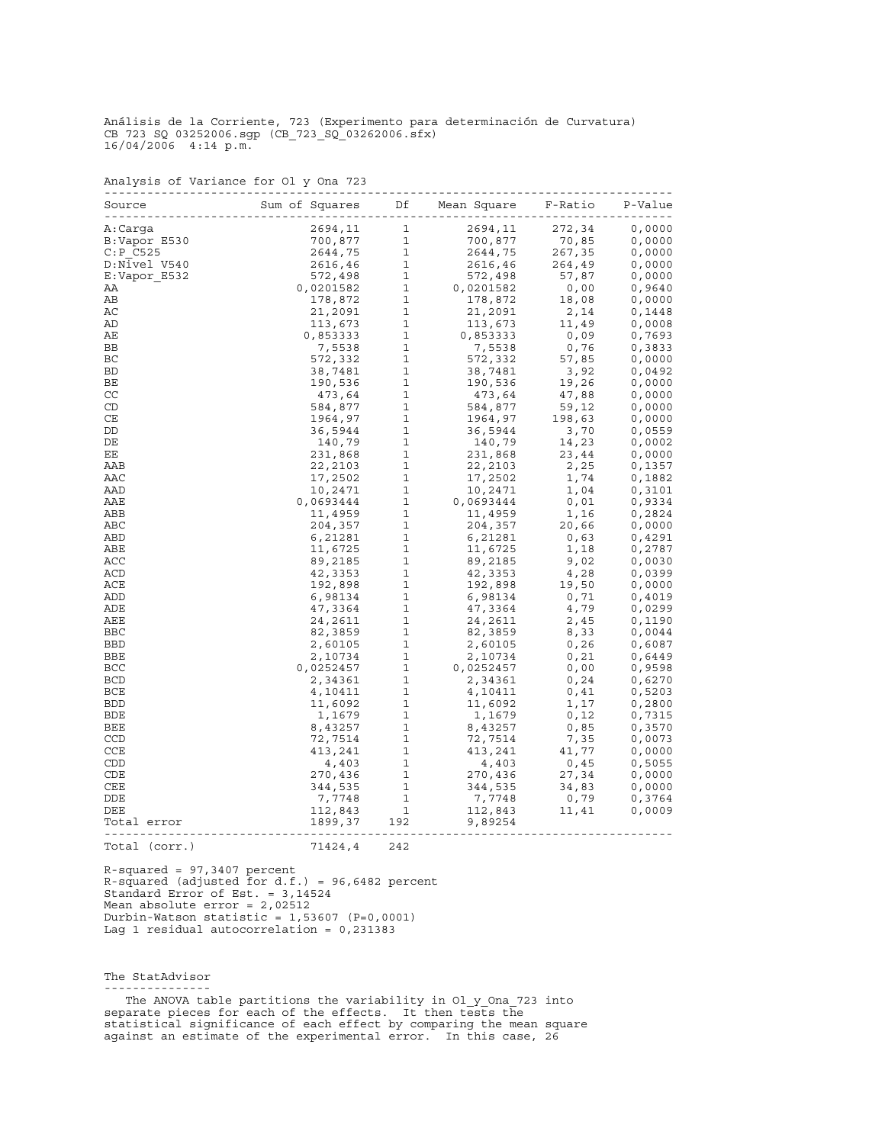|  | Analysis of Variance for Ol y Ona 723 |  |  |  |
|--|---------------------------------------|--|--|--|

| Source        |                       |              |           | F-Ratio | P-Value |
|---------------|-----------------------|--------------|-----------|---------|---------|
| A:Carqa       | 2694,11               | $\mathbf{1}$ | 2694,11   | 272,34  | 0,0000  |
| B:Vapor E530  | 700,877               | $\mathbf{1}$ | 700,877   | 70,85   | 0,0000  |
| $C: P$ $C525$ | 2644,75               | $\mathbf{1}$ | 2644,75   | 267,35  | 0,0000  |
| D:Nivel V540  | 2616,46               | $\mathbf{1}$ | 2616,46   | 264,49  | 0.0000  |
| E:Vapor E532  | 572,498               | $\mathbf{1}$ | 572,498   | 57,87   | 0,0000  |
| ΑA            | 0,0201582             | $\mathbf{1}$ | 0,0201582 | 0,00    | 0,9640  |
| AВ            | 178,872               | $\mathbf{1}$ | 178,872   | 18,08   | 0,0000  |
| АC            | 21,2091               | $1\,$        | 21,2091   | 2,14    | 0,1448  |
| AD            | 113,673               | $\mathbf{1}$ | 113,673   | 11,49   | 0,0008  |
| AЕ            | 0,853333              | $\mathbf{1}$ | 0,853333  | 0,09    | 0,7693  |
| BB            | 7,5538                | $\mathbf{1}$ | 7,5538    |         |         |
|               |                       |              |           | 0,76    | 0,3833  |
| ВC            | 572,332               | $\mathbf{1}$ | 572,332   | 57,85   | 0,0000  |
| BD            | 38,7481               | $\mathbf{1}$ | 38,7481   | 3,92    | 0,0492  |
| ВE            | 190,536               | $\mathbf 1$  | 190,536   | 19,26   | 0,0000  |
| CC            | 473,64                | $\mathbf{1}$ | 473,64    | 47,88   | 0,0000  |
| CD            | 584,877               | $\mathbf{1}$ | 584,877   | 59,12   | 0,0000  |
| CE            | 1964,97               | $\mathbf 1$  | 1964,97   | 198,63  | 0,0000  |
| DD            | 36,5944               | $\mathbf{1}$ | 36,5944   | 3,70    | 0,0559  |
| DE            | 140,79                | $\mathbf 1$  | 140,79    | 14,23   | 0,0002  |
| EE            | 231,868               | $\mathbf{1}$ | 231,868   | 23,44   | 0,0000  |
| AAB           | 22,2103               | $\mathbf{1}$ | 22,2103   | 2,25    | 0,1357  |
| AAC           | 17,2502               | $\mathbf 1$  | 17,2502   | 1,74    | 0,1882  |
| AAD           | 10,2471               | $\mathbf 1$  | 10,2471   | 1,04    | 0,3101  |
| AAE           | 0,0693444             | $\mathbf{1}$ | 0,0693444 | 0,01    | 0,9334  |
| ABB           | 11,4959               | $\mathbf{1}$ | 11,4959   | 1,16    | 0,2824  |
| ABC           | 204,357               | 1            | 204,357   | 20,66   | 0,0000  |
| ABD           | 6,21281               | $\mathbf{1}$ | 6,21281   | 0,63    | 0,4291  |
| ABE           | 11,6725               | $\mathbf{1}$ | 11,6725   | 1,18    | 0,2787  |
| ACC           | 89,2185               | $\mathbf 1$  | 89,2185   | 9,02    | 0,0030  |
| ACD           | 42,3353               | $\mathbf{1}$ | 42,3353   | 4,28    | 0,0399  |
| ACE           | 192,898               | $\mathbf 1$  | 192,898   | 19,50   | 0,0000  |
| ADD           | 6,98134               | $\mathbf 1$  | 6,98134   | 0,71    | 0,4019  |
| ADE           | 47,3364               | $\mathbf{1}$ | 47,3364   | 4,79    | 0,0299  |
| AEE           | 24,2611               | $\mathbf{1}$ | 24,2611   | 2,45    | 0,1190  |
| BBC           | 82,3859               | 1            | 82,3859   | 8,33    | 0,0044  |
| <b>BBD</b>    | 2,60105               | $\mathbf{1}$ | 2,60105   | 0, 26   | 0,6087  |
| BBE           | 2,10734               | $\mathbf{1}$ | 2,10734   | 0,21    | 0,6449  |
| BCC           | 0,0252457             | $\mathbf{1}$ | 0,0252457 | 0,00    | 0,9598  |
| <b>BCD</b>    | 2,34361               | $\mathbf{1}$ | 2,34361   | 0, 24   | 0,6270  |
| BCE           | 4,10411               | 1            | 4,10411   | 0,41    | 0,5203  |
| <b>BDD</b>    | 11,6092               | $\mathbf{1}$ | 11,6092   | 1,17    | 0,2800  |
| BDE           | 1,1679                | $\mathbf{1}$ | 1,1679    | 0, 12   | 0,7315  |
| BEE           | 8,43257               | $\mathbf{1}$ | 8,43257   | 0,85    | 0,3570  |
| CCD           | 72,7514               | $\mathbf{1}$ | 72,7514   | 7,35    | 0,0073  |
| CCE           | 413,241               | $\mathbf{1}$ | 413,241   | 41,77   | 0,0000  |
| CDD           | 4,403                 | $\mathbf{1}$ | 4,403     | 0,45    | 0,5055  |
| CDE           | 270,436               | 1            | 270,436   | 27,34   | 0,0000  |
| CEE           | 344,535               | $\mathbf{1}$ | 344,535   | 34,83   | 0,0000  |
| DDE           |                       | 1            |           |         |         |
| DEE           | 7,7748                |              | 7,7748    | 0,79    | 0,3764  |
|               | 112,843               | $\mathbf{1}$ | 112,843   | 11,41   | 0,0009  |
| Total error   | 1899,37<br>---------- | 192          | 9,89254   |         |         |
| Total (corr.) | 71424,4               | 242          |           |         |         |

R-squared = 97,3407 percent R-squared (adjusted for d.f.) = 96,6482 percent Standard Error of Est. = 3,14524 Mean absolute error = 2,02512 Durbin-Watson statistic = 1,53607 (P=0,0001) Lag 1 residual autocorrelation = 0,231383

The StatAdvisor ---------------

 The ANOVA table partitions the variability in Ol\_y\_Ona\_723 into separate pieces for each of the effects. It then tests the statistical significance of each effect by comparing the mean square against an estimate of the experimental error. In this case, 26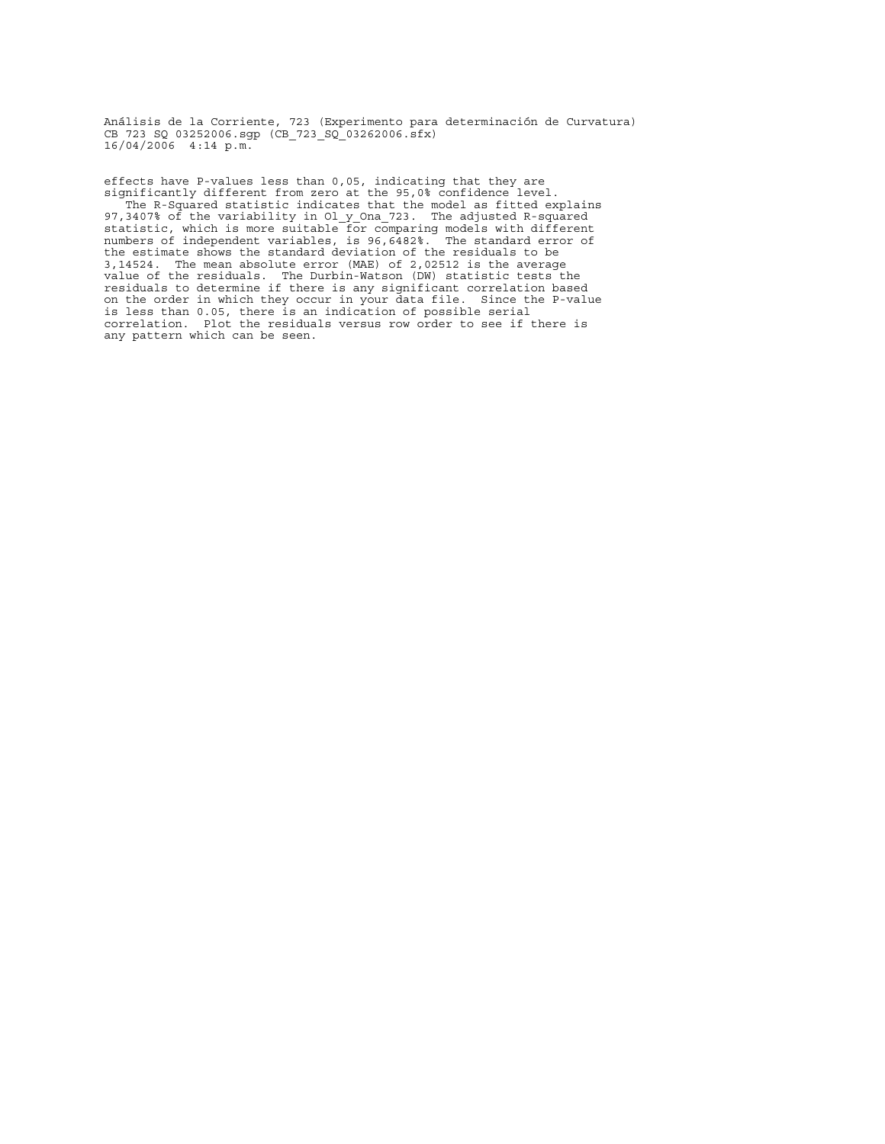effects have P-values less than 0,05, indicating that they are significantly different from zero at the 95,0% confidence level. The R-Squared statistic indicates that the model as fitted explains 97,3407% of the variability in Ol\_y\_Ona\_723. The adjusted R-squared statistic, which is more suitable for comparing models with different numbers of independent variables, is 96,6482%. The standard error of the estimate shows the standard deviation of the residuals to be 3,14524. The mean absolute error (MAE) of 2,02512 is the average value of the residuals. The Durbin-Watson (DW) statistic tests the residuals to determine if there is any significant correlation based on the order in which they occur in your data file. Since the P-value is less than 0.05, there is an indication of possible serial correlation. Plot the residuals versus row order to see if there is any pattern which can be seen.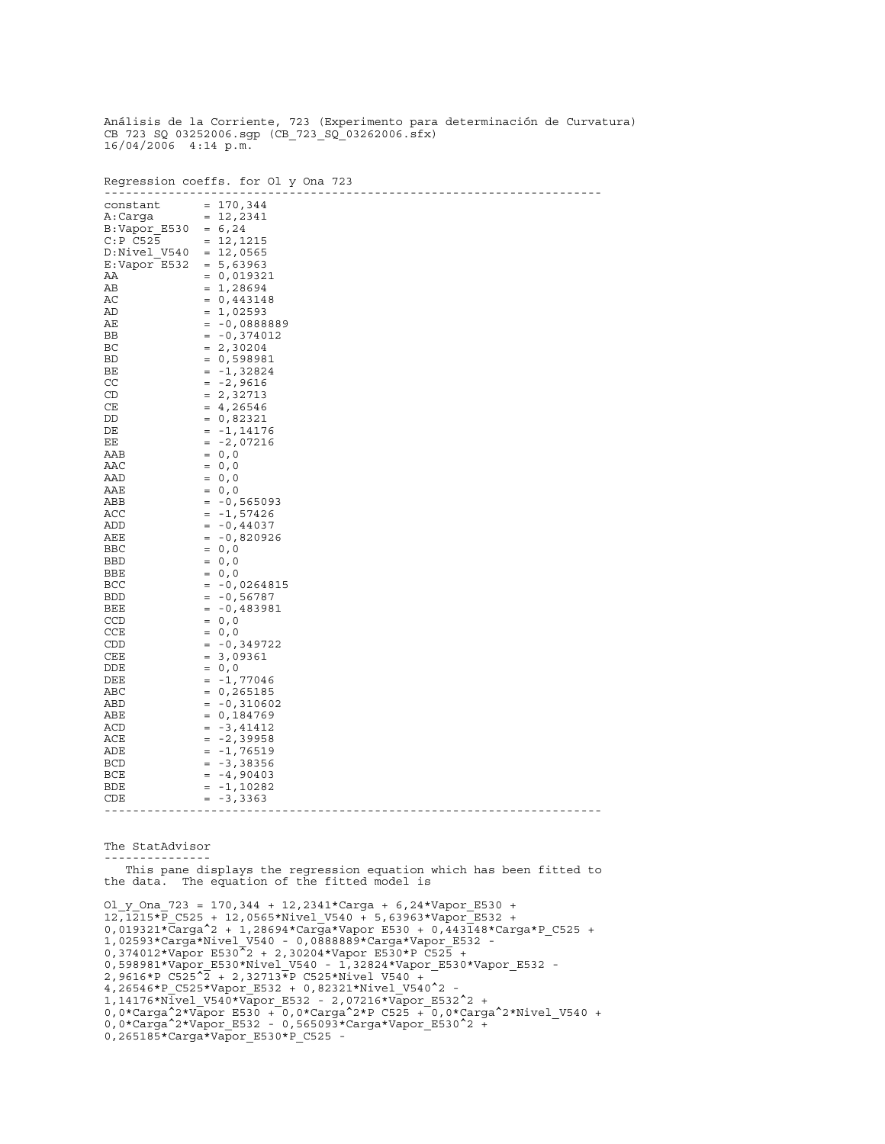|                                                                                                                                                                                                                                                                                                              | Regression coeffs. for Ol y Ona 723<br>$\frac{1}{2}$                                                                                                                                                                                                                                                                                                                                                                                                                                                                                                                                                                                           |
|--------------------------------------------------------------------------------------------------------------------------------------------------------------------------------------------------------------------------------------------------------------------------------------------------------------|------------------------------------------------------------------------------------------------------------------------------------------------------------------------------------------------------------------------------------------------------------------------------------------------------------------------------------------------------------------------------------------------------------------------------------------------------------------------------------------------------------------------------------------------------------------------------------------------------------------------------------------------|
| constant<br>A:Carqa<br>B:Vapor E530<br>$C: P$ $C525$<br>D:Nivel V540<br>E:Vapor E532<br>ΑA<br>AВ<br>AC<br>AD<br>AЕ<br>BB<br>ВC<br><b>BD</b><br>BЕ<br>CC<br>CD<br>CE<br>DD<br>DE<br>EЕ<br>AAB<br>AAC<br>AAD<br>AAE<br>ABB<br>ACC<br>ADD<br>AEE<br><b>BBC</b><br>BBD<br>BBE<br>BCC<br><b>BDD</b><br>BEE<br>CCD | $= 170, 344$<br>$= 12, 2341$<br>$= 6, 24$<br>$= 12, 1215$<br>$= 12,0565$<br>$= 5,63963$<br>$= 0,019321$<br>1,28694<br>$\quad =$<br>0,443148<br>$=$<br>$= 1,02593$<br>-0,0888889<br>$=$<br>$= -0,374012$<br>$= 2,30204$<br>$= 0,598981$<br>$= -1,32824$<br>$-2,9616$<br>$\quad =$<br>$= 2,32713$<br>$= 4, 26546$<br>$= 0,82321$<br>$= -1,14176$<br>-2,07216<br>$=$<br>$= 0, 0$<br>$= 0, 0$<br>$= 0, 0$<br>$= 0, 0$<br>$-0,565093$<br>$\qquad \qquad =$<br>-1,57426<br>$\quad =$<br>$-0,44037$<br>$\quad =$<br>$-0,820926$<br>$=$<br>$= 0, 0$<br>$= 0, 0$<br>$= 0, 0$<br>$= -0,0264815$<br>-0,56787<br>$\quad =$<br>-0,483981<br>$=$<br>$= 0, 0$ |
|                                                                                                                                                                                                                                                                                                              |                                                                                                                                                                                                                                                                                                                                                                                                                                                                                                                                                                                                                                                |
| CCE<br>CDD<br>CEE<br>DDE<br>DEE                                                                                                                                                                                                                                                                              | $= 0, 0$<br>$= -0,349722$<br>3,09361<br>$\quad = \quad$<br>$= 0, 0$<br>-1,77046<br>$=$                                                                                                                                                                                                                                                                                                                                                                                                                                                                                                                                                         |
| ABC<br>ABD<br>ABE<br>ACD<br>ACE<br>ADE                                                                                                                                                                                                                                                                       | $= 0, 265185$<br>$= -0,310602$<br>0,184769<br>$=$<br>-3,41412<br>$=$<br>-2,39958<br>$=$<br>-1,76519<br>$\quad =$                                                                                                                                                                                                                                                                                                                                                                                                                                                                                                                               |
| BCD<br>BCE<br>BDE<br>CDE                                                                                                                                                                                                                                                                                     | -3,38356<br>$=$<br>$-4,90403$<br>$\quad =$<br>-1,10282<br>$\quad = \quad$<br>-3,3363<br>$=$                                                                                                                                                                                                                                                                                                                                                                                                                                                                                                                                                    |

The StatAdvisor ---------------

 This pane displays the regression equation which has been fitted to the data. The equation of the fitted model is

 $O1_y$   $Ona_723 = 170,344 + 12,2341*Carga + 6,24*Vapor_E530 +$ 12,1215\*P\_C525 + 12,0565\*Nivel\_V540 + 5,63963\*Vapor\_E532 + 0,019321\*Carga^2 + 1,28694\*Carga\*Vapor\_E530 + 0,443148\*Carga\*P\_C525 + 1,02593\*Carga\*Nivel\_V540 - 0,0888889\*Carga\*Vapor\_E532 - 0,374012\*Vapor\_E530^2 + 2,30204\*Vapor\_E530\*P\_C525 + 0,598981\*Vapor\_E530\*Nivel\_V540 - 1,32824\*Vapor\_E530\*Vapor\_E532 - 2,9616\*P\_C525^2 + 2,32713\*P\_C525\*Nivel\_V540 + 4,26546\*P\_C525\*Vapor\_E532 + 0,82321\*Nivel\_V540^2 - 1,14176\*Nivel\_V540\*Vapor\_E532 - 2,07216\*Vapor\_E532^2 + 0,0\*Carga^2\*Vapor E530 + 0,0\*Carga^2\*P C525 + 0,0\*Carga^2\*Nivel V540 + 0,0\*Carga^2\*Vapor E532 - 0,565093\*Carga\*Vapor E530^2 + 0,265185\*Carga\*Vapor\_E530\*P\_C525 -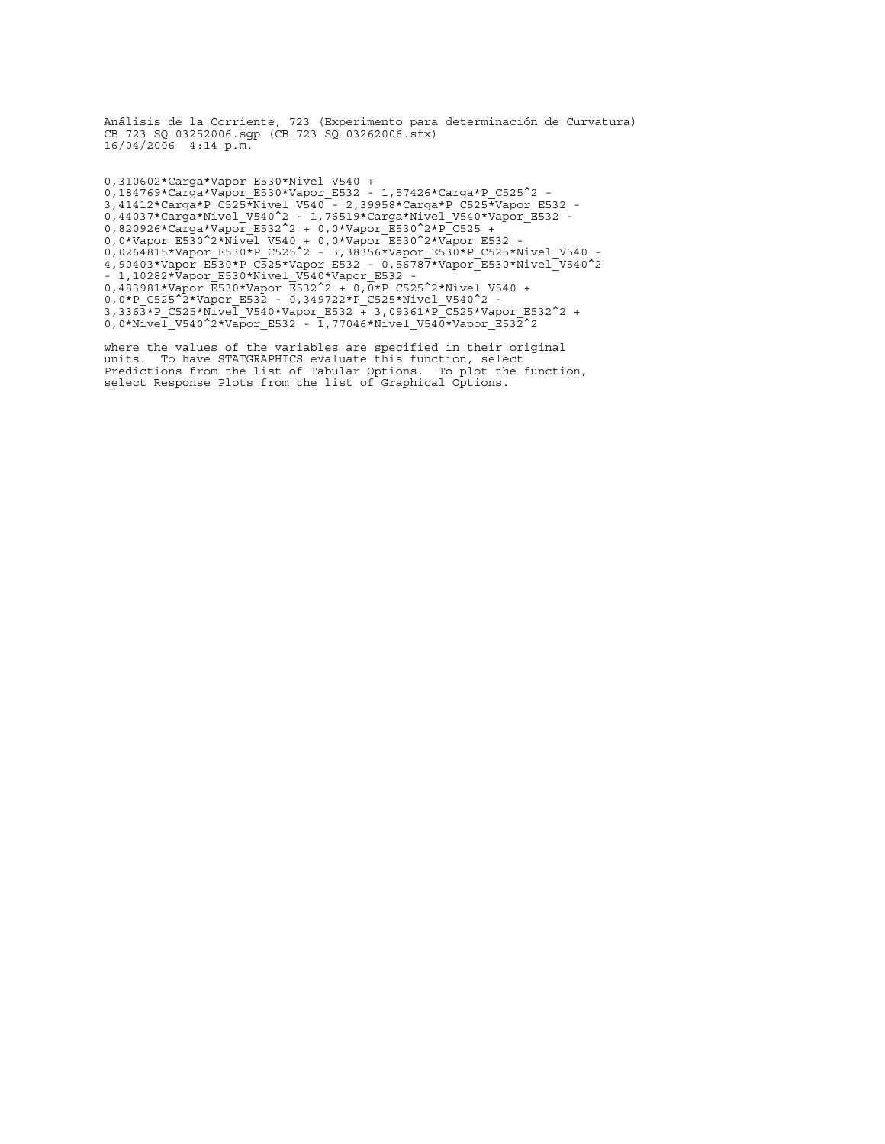0,310602\*Carga\*Vapor\_E530\*Nivel\_V540 + 0,184769\*Carga\*Vapor\_E530\*Vapor\_E532 - 1,57426\*Carga\*P\_C525^2 - 3,41412\*Carga\*P\_C525\*Nivel\_V540 - 2,39958\*Carga\*P\_C525\*Vapor\_E532 - 0,44037\*Carga\*Nivel\_V540^2 - 1,76519\*Carga\*Nivel\_V540\*Vapor\_E532 - 0,820926\*Carga\*Vapor\_E532^2 + 0,0\*Vapor\_E530^2\*P\_C525 + 0,0\*Vapor\_E530^2\*Nivel\_V540 + 0,0\*Vapor\_E530^2\*Vapor\_E532 - 0,0264815\*Vapor\_E530\*P\_C525^2 - 3,38356\*Vapor\_E530\*P\_C525\*Nivel\_V540 - 4,90403\*Vapor\_E530\*P\_C525\*Vapor\_E532 - 0,56787\*Vapor\_E530\*Nivel\_V540^2 - 1,10282\*Vapor\_E530\*Nivel\_V540\*Vapor\_E532 - 0,483981\*Vapor E530\*Vapor E532^2 + 0,0\*P C525^2\*Nivel V540 + 0,0\*P C525^2\*Vapor E532 - 0,349722\*P C525\*Nivel V540^2 -3,3363\*P\_C525\*Nivel V540\*Vapor\_E532 + 3,09361\*P\_C525\*Vapor\_E532^2 + 0,0\*Nivel V540^2\*Vapor E532 - 1,77046\*Nivel V540\*Vapor E532^2

where the values of the variables are specified in their original units. To have STATGRAPHICS evaluate this function, select Predictions from the list of Tabular Options. To plot the function, select Response Plots from the list of Graphical Options.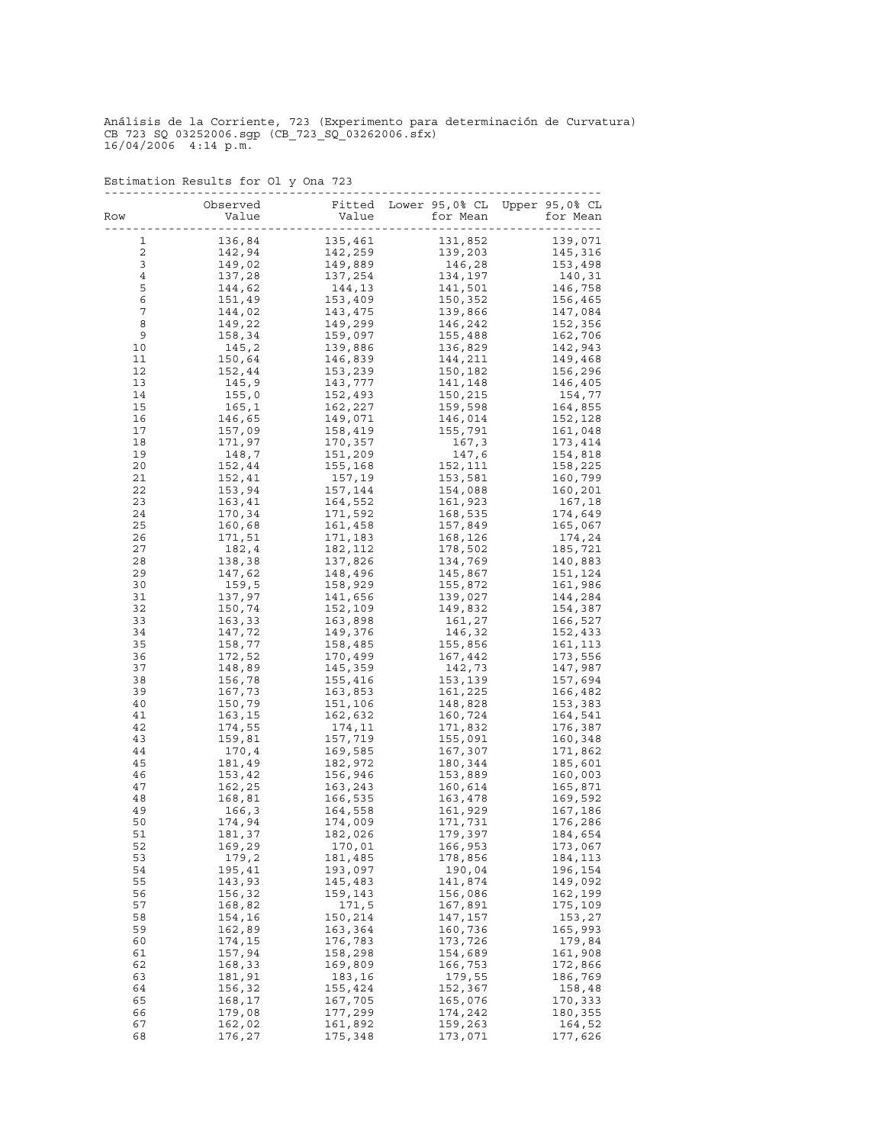|                 | Observed         |                    | Fitted Lower 95,0% CL Upper 95,0% CL |                    |
|-----------------|------------------|--------------------|--------------------------------------|--------------------|
| Row             | Value            | Value              | for Mean                             | for Mean           |
| 1               | 136,84           | 135,461            | 131,852                              | 139,071            |
| $\mathbf 2$     | 142,94           | 142,259            | 139,203                              | 145,316            |
| 3               | 149,02           | 149,889            | 146,28                               | 153,498            |
| 4               | 137,28           | 137,254            | 134,197                              | 140,31             |
| 5               | 144,62           | 144,13             | 141,501                              | 146,758            |
| $\epsilon$<br>7 | 151,49<br>144,02 | 153,409<br>143,475 | 150,352<br>139,866                   | 156,465<br>147,084 |
| 8               | 149,22           | 149,299            | 146,242                              | 152,356            |
| 9               | 158,34           | 159,097            | 155,488                              | 162,706            |
| 10              | 145,2            | 139,886            | 136,829                              | 142,943            |
| 11              | 150,64           | 146,839            | 144,211                              | 149,468            |
| 12<br>13        | 152,44<br>145,9  | 153,239<br>143,777 | 150,182<br>141,148                   | 156,296<br>146,405 |
| 14              | 155,0            | 152,493            | 150,215                              | 154,77             |
| 15              | 165, 1           | 162,227            | 159,598                              | 164,855            |
| 16              | 146,65           | 149,071            | 146,014                              | 152,128            |
| 17              | 157,09           | 158,419            | 155,791                              | 161,048            |
| 18              | 171,97           | 170,357            | 167,3                                | 173,414            |
| 19<br>20        | 148,7<br>152,44  | 151,209<br>155,168 | 147,6<br>152,111                     | 154,818<br>158,225 |
| 21              | 152,41           | 157,19             | 153,581                              | 160,799            |
| 22              | 153,94           | 157,144            | 154,088                              | 160,201            |
| 23              | 163,41           | 164,552            | 161,923                              | 167,18             |
| 24              | 170,34           | 171,592            | 168,535                              | 174,649            |
| 25              | 160,68           | 161,458            | 157,849                              | 165,067            |
| 26<br>27        | 171,51<br>182,4  | 171,183<br>182,112 | 168,126<br>178,502                   | 174,24<br>185,721  |
| 28              | 138,38           | 137,826            | 134,769                              | 140,883            |
| 29              | 147,62           | 148,496            | 145,867                              | 151,124            |
| 30              | 159,5            | 158,929            | 155,872                              | 161,986            |
| 31              | 137,97           | 141,656            | 139,027                              | 144,284            |
| 32<br>33        | 150,74<br>163,33 | 152,109<br>163,898 | 149,832<br>161,27                    | 154,387<br>166,527 |
| 34              | 147,72           | 149,376            | 146,32                               | 152,433            |
| 35              | 158,77           | 158,485            | 155,856                              | 161,113            |
| 36              | 172,52           | 170,499            | 167,442                              | 173,556            |
| 37              | 148,89           | 145,359            | 142,73                               | 147,987            |
| 38<br>39        | 156,78<br>167,73 | 155,416<br>163,853 | 153,139<br>161,225                   | 157,694<br>166,482 |
| 40              | 150,79           | 151,106            | 148,828                              | 153,383            |
| 41              | 163,15           | 162,632            | 160,724                              | 164,541            |
| 42              | 174,55           | 174,11             | 171,832                              | 176,387            |
| 43              | 159,81           | 157,719            | 155,091                              | 160,348            |
| 44<br>45        | 170,4<br>181,49  | 169,585<br>182,972 | 167,307<br>180,344                   | 171,862<br>185,601 |
| 46              | 153,42           | 156,946            | 153,889                              | 160,003            |
| 47              | 162,25           | 163,243            | 160,614                              | 165,871            |
| 48              | 168,81           | 166,535            | 163,478                              | 169,592            |
| 49              | 166,3            | 164,558            | 161,929                              | 167,186            |
| 50              | 174,94           | 174,009            | 171,731                              | 176,286            |
| 51<br>52        | 181,37<br>169,29 | 182,026<br>170,01  | 179,397<br>166,953                   | 184,654<br>173,067 |
| 53              | 179,2            | 181,485            | 178,856                              | 184,113            |
| 54              | 195,41           | 193,097            | 190,04                               | 196,154            |
| 55              | 143,93           | 145,483            | 141,874                              | 149,092            |
| 56<br>57        | 156,32<br>168,82 | 159,143            | 156,086                              | 162,199<br>175,109 |
| 58              | 154,16           | 171,5<br>150,214   | 167,891<br>147,157                   | 153,27             |
| 59              | 162,89           | 163,364            | 160,736                              | 165,993            |
| 60              | 174,15           | 176,783            | 173,726                              | 179,84             |
| 61              | 157,94           | 158,298            | 154,689                              | 161,908            |
| 62              | 168,33           | 169,809            | 166,753                              | 172,866            |
| 63<br>64        | 181,91<br>156,32 | 183,16<br>155,424  | 179,55<br>152,367                    | 186,769<br>158,48  |
| 65              | 168,17           | 167,705            | 165,076                              | 170,333            |
| 66              | 179,08           | 177,299            | 174,242                              | 180,355            |
| 67              | 162,02           | 161,892            | 159,263                              | 164,52             |
| 68              | 176,27           | 175,348            | 173,071                              | 177,626            |

Estimation Results for Ol\_y\_Ona\_723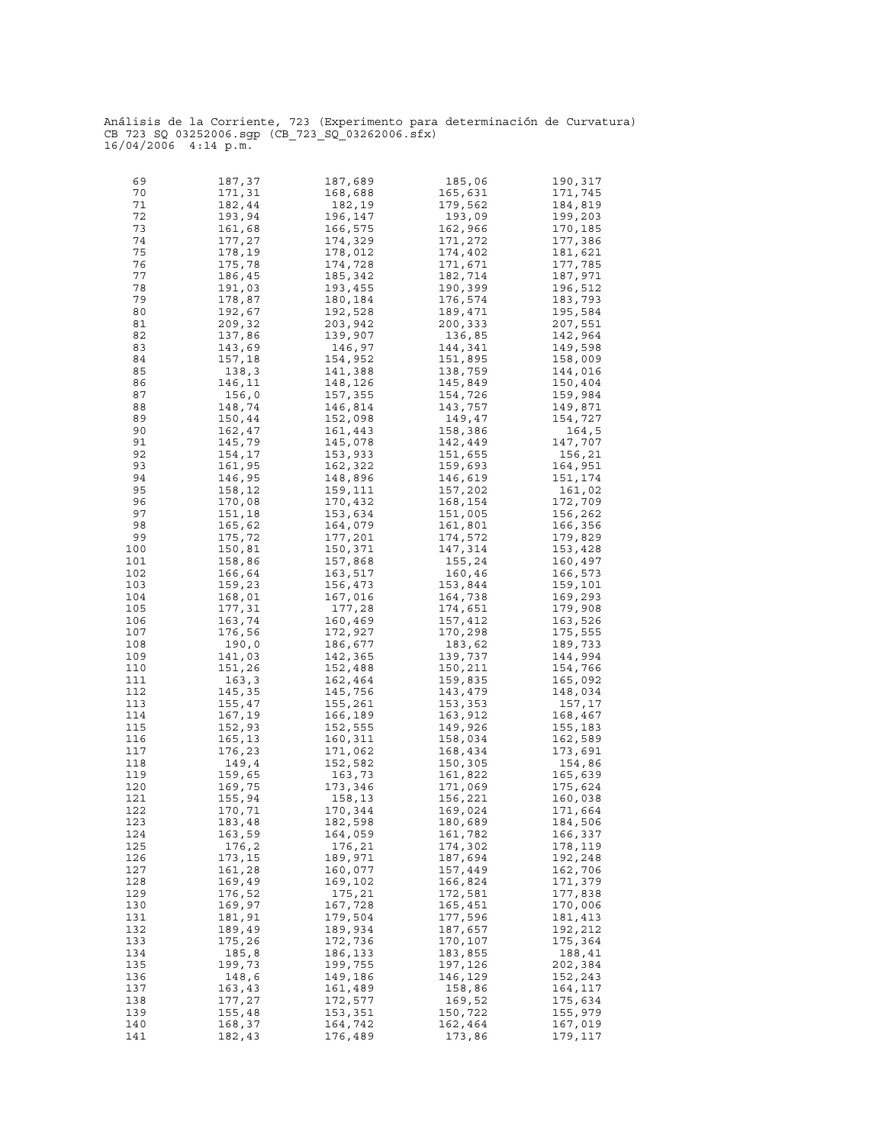| 69  | 187,37 | 187,689 | 185,06  | 190,317 |
|-----|--------|---------|---------|---------|
| 70  | 171,31 | 168,688 | 165,631 | 171,745 |
|     |        |         |         |         |
| 71  | 182,44 | 182,19  | 179,562 | 184,819 |
| 72  | 193,94 | 196,147 | 193,09  | 199,203 |
| 73  | 161,68 | 166,575 | 162,966 | 170,185 |
|     |        |         |         |         |
| 74  | 177,27 | 174,329 | 171,272 | 177,386 |
| 75  | 178,19 | 178,012 | 174,402 | 181,621 |
| 76  | 175,78 | 174,728 | 171,671 | 177,785 |
| 77  | 186,45 | 185,342 | 182,714 | 187,971 |
|     |        |         |         |         |
| 78  | 191,03 | 193,455 | 190,399 | 196,512 |
| 79  | 178,87 | 180,184 | 176,574 | 183,793 |
| 80  | 192,67 | 192,528 | 189,471 | 195,584 |
|     | 209,32 |         |         |         |
| 81  |        | 203,942 | 200,333 | 207,551 |
| 82  | 137,86 | 139,907 | 136,85  | 142,964 |
| 83  | 143,69 | 146,97  | 144,341 | 149,598 |
| 84  | 157,18 | 154,952 | 151,895 | 158,009 |
|     |        |         |         |         |
| 85  | 138,3  | 141,388 | 138,759 | 144,016 |
| 86  | 146,11 | 148,126 | 145,849 | 150,404 |
| 87  | 156,0  | 157,355 | 154,726 | 159,984 |
| 88  | 148,74 | 146,814 | 143,757 | 149,871 |
|     |        |         |         |         |
| 89  | 150,44 | 152,098 | 149,47  | 154,727 |
| 90  | 162,47 | 161,443 | 158,386 | 164,5   |
| 91  | 145,79 | 145,078 | 142,449 | 147,707 |
|     |        | 153,933 | 151,655 | 156,21  |
| 92  | 154,17 |         |         |         |
| 93  | 161,95 | 162,322 | 159,693 | 164,951 |
| 94  | 146,95 | 148,896 | 146,619 | 151,174 |
| 95  | 158,12 | 159,111 | 157,202 | 161,02  |
| 96  |        |         | 168,154 | 172,709 |
|     | 170,08 | 170,432 |         |         |
| 97  | 151,18 | 153,634 | 151,005 | 156,262 |
| 98  | 165,62 | 164,079 | 161,801 | 166,356 |
| 99  | 175,72 | 177,201 | 174,572 | 179,829 |
|     |        |         |         |         |
| 100 | 150,81 | 150,371 | 147,314 | 153,428 |
| 101 | 158,86 | 157,868 | 155,24  | 160,497 |
| 102 | 166,64 | 163,517 | 160,46  | 166,573 |
| 103 | 159,23 | 156,473 | 153,844 | 159,101 |
| 104 | 168,01 | 167,016 | 164,738 | 169,293 |
|     |        |         |         |         |
| 105 | 177,31 | 177,28  | 174,651 | 179,908 |
| 106 | 163,74 | 160,469 | 157,412 | 163,526 |
| 107 | 176,56 | 172,927 | 170,298 | 175,555 |
| 108 | 190,0  | 186,677 | 183,62  | 189,733 |
|     |        |         |         |         |
| 109 | 141,03 | 142,365 | 139,737 | 144,994 |
| 110 | 151,26 | 152,488 | 150,211 | 154,766 |
| 111 | 163,3  | 162,464 | 159,835 | 165,092 |
| 112 | 145,35 | 145,756 | 143,479 | 148,034 |
|     | 155,47 |         |         | 157,17  |
| 113 |        | 155,261 | 153,353 |         |
| 114 | 167,19 | 166,189 | 163,912 | 168,467 |
| 115 | 152,93 | 152,555 | 149,926 | 155,183 |
| 116 | 165,13 | 160,311 | 158,034 | 162,589 |
| 117 | 176,23 | 171,062 | 168,434 | 173,691 |
|     |        |         |         |         |
| 118 | 149,4  | 152,582 | 150,305 | 154,86  |
| 119 | 159,65 | 163,73  | 161,822 | 165,639 |
| 120 | 169,75 | 173,346 | 171,069 | 175,624 |
| 121 | 155,94 | 158,13  | 156,221 | 160,038 |
|     |        |         |         |         |
| 122 | 170,71 | 170,344 | 169,024 | 171,664 |
| 123 | 183,48 | 182,598 | 180,689 | 184,506 |
| 124 | 163,59 | 164,059 | 161,782 | 166,337 |
| 125 | 176,2  | 176,21  | 174,302 | 178,119 |
|     |        |         |         | 192,248 |
| 126 | 173,15 | 189,971 | 187,694 |         |
| 127 | 161,28 | 160,077 | 157,449 | 162,706 |
| 128 | 169,49 | 169,102 | 166,824 | 171,379 |
| 129 | 176,52 | 175,21  | 172,581 | 177,838 |
| 130 | 169,97 | 167,728 | 165,451 | 170,006 |
|     |        |         |         |         |
| 131 | 181,91 | 179,504 | 177,596 | 181,413 |
| 132 | 189,49 | 189,934 | 187,657 | 192,212 |
| 133 | 175,26 | 172,736 | 170,107 | 175,364 |
| 134 | 185,8  | 186,133 | 183,855 | 188,41  |
| 135 | 199,73 | 199,755 | 197,126 | 202,384 |
|     |        |         |         |         |
| 136 | 148,6  | 149,186 | 146,129 | 152,243 |
| 137 | 163,43 | 161,489 | 158,86  | 164,117 |
| 138 | 177,27 | 172,577 | 169,52  | 175,634 |
| 139 | 155,48 | 153,351 | 150,722 | 155,979 |
|     |        |         |         |         |
| 140 | 168,37 | 164,742 | 162,464 | 167,019 |
| 141 | 182,43 | 176,489 | 173,86  | 179,117 |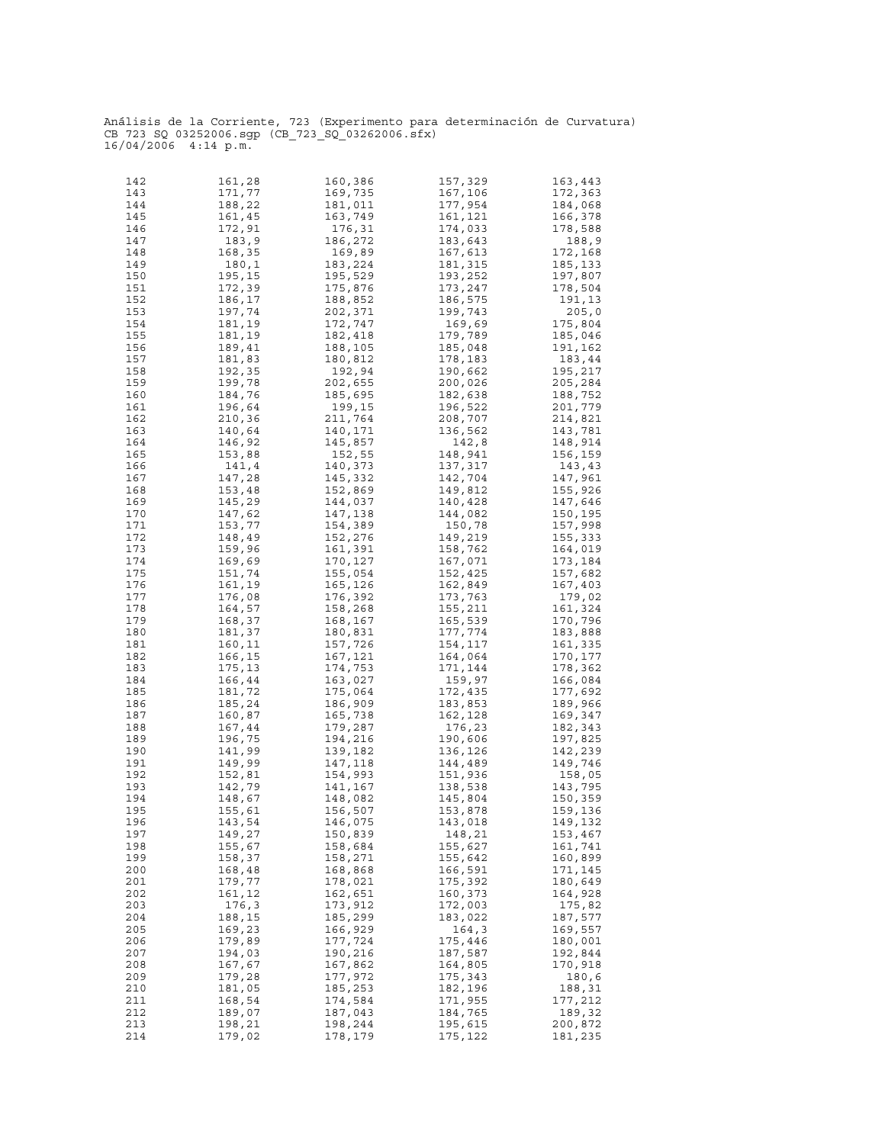| 142 | 161,28 | 160,386 | 157,329 | 163,443 |
|-----|--------|---------|---------|---------|
|     |        |         |         |         |
| 143 | 171,77 | 169,735 | 167,106 | 172,363 |
| 144 | 188,22 | 181,011 | 177,954 | 184,068 |
| 145 | 161,45 | 163,749 | 161,121 | 166,378 |
|     |        |         |         |         |
| 146 | 172,91 | 176,31  | 174,033 | 178,588 |
| 147 | 183,9  | 186,272 | 183,643 | 188,9   |
|     |        |         |         |         |
| 148 | 168,35 | 169,89  | 167,613 | 172,168 |
| 149 | 180,1  | 183,224 | 181,315 | 185,133 |
| 150 | 195,15 | 195,529 | 193,252 | 197,807 |
|     |        |         |         |         |
| 151 | 172,39 | 175,876 | 173,247 | 178,504 |
| 152 | 186,17 | 188,852 | 186,575 | 191,13  |
| 153 | 197,74 | 202,371 | 199,743 | 205,0   |
|     |        |         |         |         |
| 154 | 181,19 | 172,747 | 169,69  | 175,804 |
| 155 | 181,19 | 182,418 | 179,789 | 185,046 |
| 156 | 189,41 | 188,105 | 185,048 | 191,162 |
|     |        |         |         |         |
| 157 | 181,83 | 180,812 | 178,183 | 183,44  |
| 158 | 192,35 | 192,94  | 190,662 | 195,217 |
| 159 | 199,78 | 202,655 | 200,026 | 205,284 |
|     |        |         |         |         |
| 160 | 184,76 | 185,695 | 182,638 | 188,752 |
| 161 | 196,64 | 199,15  | 196,522 | 201,779 |
| 162 | 210,36 | 211,764 | 208,707 | 214,821 |
|     |        |         |         |         |
| 163 | 140,64 | 140,171 | 136,562 | 143,781 |
| 164 | 146,92 | 145,857 | 142,8   | 148,914 |
| 165 |        | 152,55  |         |         |
|     | 153,88 |         | 148,941 | 156,159 |
| 166 | 141,4  | 140,373 | 137,317 | 143,43  |
| 167 | 147,28 | 145,332 | 142,704 | 147,961 |
|     | 153,48 |         | 149,812 |         |
| 168 |        | 152,869 |         | 155,926 |
| 169 | 145,29 | 144,037 | 140,428 | 147,646 |
| 170 | 147,62 | 147,138 | 144,082 | 150,195 |
|     |        |         |         |         |
| 171 | 153,77 | 154,389 | 150,78  | 157,998 |
| 172 | 148,49 | 152,276 | 149,219 | 155,333 |
| 173 | 159,96 | 161,391 | 158,762 | 164,019 |
|     |        |         |         |         |
| 174 | 169,69 | 170,127 | 167,071 | 173,184 |
| 175 | 151,74 | 155,054 | 152,425 | 157,682 |
| 176 | 161,19 | 165,126 | 162,849 | 167,403 |
|     |        |         |         |         |
| 177 | 176,08 | 176,392 | 173,763 | 179,02  |
| 178 | 164,57 | 158,268 | 155,211 | 161,324 |
| 179 | 168,37 | 168,167 | 165,539 | 170,796 |
|     |        |         |         |         |
| 180 | 181,37 | 180,831 | 177,774 | 183,888 |
| 181 | 160,11 | 157,726 | 154,117 | 161,335 |
| 182 | 166,15 | 167,121 | 164,064 | 170,177 |
|     |        |         |         |         |
| 183 | 175,13 | 174,753 | 171,144 | 178,362 |
| 184 | 166,44 | 163,027 | 159,97  | 166,084 |
| 185 | 181,72 | 175,064 | 172,435 | 177,692 |
|     |        |         |         |         |
| 186 | 185,24 | 186,909 | 183,853 | 189,966 |
| 187 | 160,87 | 165,738 | 162,128 | 169,347 |
| 188 | 167,44 | 179,287 | 176,23  | 182,343 |
|     |        |         |         |         |
| 189 | 196,75 | 194,216 | 190,606 | 197,825 |
| 190 | 141,99 | 139,182 | 136,126 | 142,239 |
| 191 | 149,99 | 147,118 | 144,489 | 149,746 |
|     |        |         |         |         |
| 192 | 152,81 | 154,993 | 151,936 | 158,05  |
| 193 | 142,79 | 141,167 | 138,538 | 143,795 |
| 194 | 148,67 | 148,082 | 145,804 | 150,359 |
|     |        |         |         |         |
| 195 | 155,61 | 156,507 | 153,878 | 159,136 |
| 196 | 143,54 | 146,075 | 143,018 | 149,132 |
| 197 | 149,27 | 150,839 | 148,21  | 153,467 |
|     |        |         |         |         |
| 198 | 155,67 | 158,684 | 155,627 | 161,741 |
| 199 | 158,37 | 158,271 | 155,642 | 160,899 |
| 200 | 168,48 | 168,868 | 166,591 | 171,145 |
|     |        |         |         |         |
| 201 | 179,77 | 178,021 | 175,392 | 180,649 |
| 202 | 161,12 | 162,651 | 160,373 | 164,928 |
| 203 | 176,3  | 173,912 | 172,003 | 175,82  |
|     |        |         |         |         |
| 204 | 188,15 | 185,299 | 183,022 | 187,577 |
| 205 | 169,23 | 166,929 | 164,3   | 169,557 |
| 206 | 179,89 | 177,724 | 175,446 | 180,001 |
|     |        |         |         |         |
| 207 | 194,03 | 190,216 | 187,587 | 192,844 |
| 208 | 167,67 | 167,862 | 164,805 | 170,918 |
| 209 | 179,28 | 177,972 | 175,343 | 180,6   |
|     |        |         |         |         |
| 210 | 181,05 | 185,253 | 182,196 | 188,31  |
| 211 | 168,54 | 174,584 | 171,955 | 177,212 |
| 212 | 189,07 | 187,043 | 184,765 | 189,32  |
|     |        |         |         |         |
| 213 | 198,21 | 198,244 | 195,615 | 200,872 |
| 214 | 179,02 | 178,179 | 175,122 | 181,235 |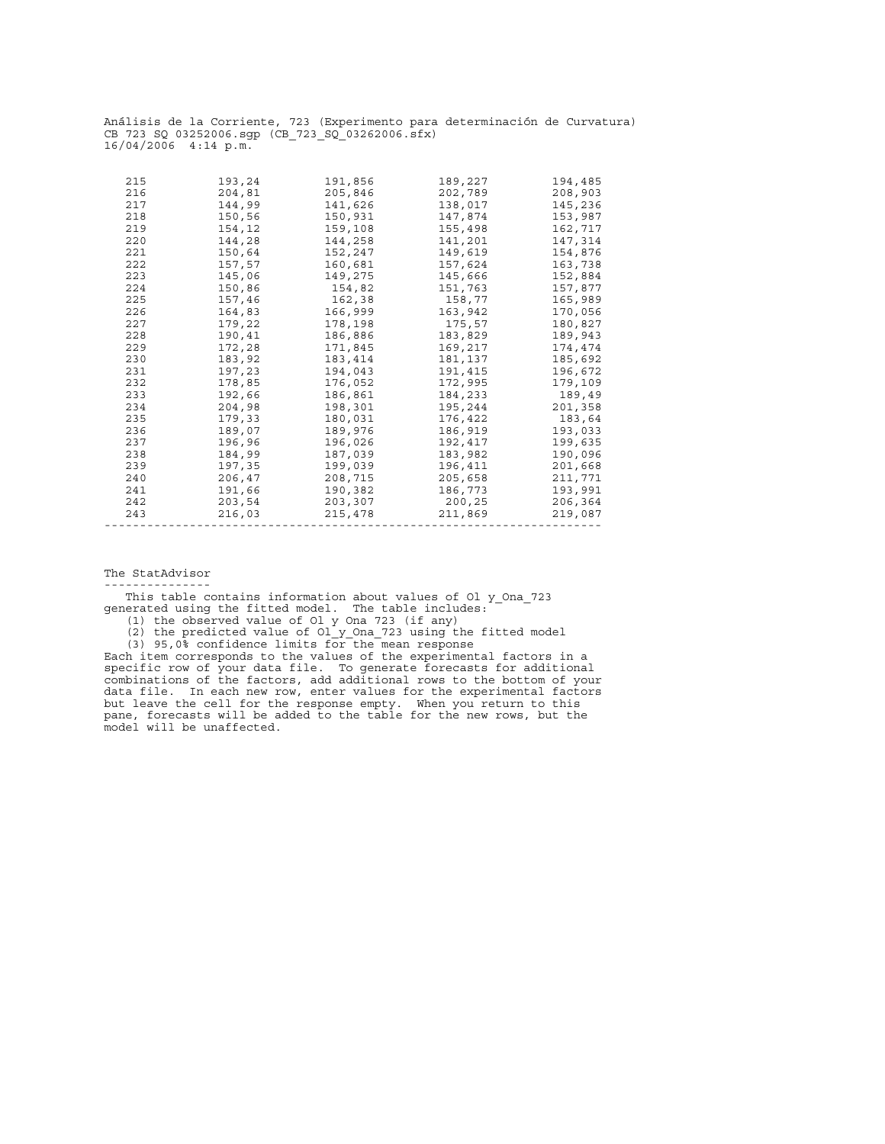| 215<br>216<br>217<br>218<br>219<br>220<br>221<br>222<br>223<br>224<br>225<br>226<br>227<br>228<br>229<br>230<br>231<br>232<br>233 | 193,24<br>204,81<br>144,99<br>150,56<br>154,12<br>144,28<br>150,64<br>157,57<br>145,06<br>150,86<br>157,46<br>164,83<br>179,22<br>190,41<br>172,28<br>183,92<br>197,23<br>178,85<br>192,66 | 191,856<br>205,846<br>141,626<br>150,931<br>159,108<br>144,258<br>152,247<br>160,681<br>149,275<br>154,82<br>162,38<br>166,999<br>178,198<br>186,886<br>171,845<br>183,414<br>194,043<br>176,052<br>186,861 | 189,227<br>202,789<br>138,017<br>147,874<br>155,498<br>141,201<br>149,619<br>157,624<br>145,666<br>151,763<br>158,77<br>163,942<br>175,57<br>183,829<br>169,217<br>181,137<br>191,415<br>172,995<br>184,233 | 194,485<br>208,903<br>145,236<br>153,987<br>162,717<br>147,314<br>154,876<br>163,738<br>152,884<br>170,056<br>189,943<br>174,474<br>189,49 |
|-----------------------------------------------------------------------------------------------------------------------------------|--------------------------------------------------------------------------------------------------------------------------------------------------------------------------------------------|-------------------------------------------------------------------------------------------------------------------------------------------------------------------------------------------------------------|-------------------------------------------------------------------------------------------------------------------------------------------------------------------------------------------------------------|--------------------------------------------------------------------------------------------------------------------------------------------|
|                                                                                                                                   |                                                                                                                                                                                            |                                                                                                                                                                                                             |                                                                                                                                                                                                             | 157,877                                                                                                                                    |
|                                                                                                                                   |                                                                                                                                                                                            |                                                                                                                                                                                                             |                                                                                                                                                                                                             | 165,989                                                                                                                                    |
|                                                                                                                                   |                                                                                                                                                                                            |                                                                                                                                                                                                             |                                                                                                                                                                                                             |                                                                                                                                            |
|                                                                                                                                   |                                                                                                                                                                                            |                                                                                                                                                                                                             |                                                                                                                                                                                                             | 180,827                                                                                                                                    |
|                                                                                                                                   |                                                                                                                                                                                            |                                                                                                                                                                                                             |                                                                                                                                                                                                             |                                                                                                                                            |
|                                                                                                                                   |                                                                                                                                                                                            |                                                                                                                                                                                                             |                                                                                                                                                                                                             |                                                                                                                                            |
|                                                                                                                                   |                                                                                                                                                                                            |                                                                                                                                                                                                             |                                                                                                                                                                                                             | 185,692                                                                                                                                    |
|                                                                                                                                   |                                                                                                                                                                                            |                                                                                                                                                                                                             |                                                                                                                                                                                                             | 196,672                                                                                                                                    |
|                                                                                                                                   |                                                                                                                                                                                            |                                                                                                                                                                                                             |                                                                                                                                                                                                             | 179,109                                                                                                                                    |
|                                                                                                                                   |                                                                                                                                                                                            |                                                                                                                                                                                                             |                                                                                                                                                                                                             |                                                                                                                                            |
| 234                                                                                                                               | 204,98                                                                                                                                                                                     | 198,301                                                                                                                                                                                                     | 195,244                                                                                                                                                                                                     | 201,358                                                                                                                                    |
| 235                                                                                                                               | 179,33                                                                                                                                                                                     | 180,031                                                                                                                                                                                                     | 176,422                                                                                                                                                                                                     | 183,64                                                                                                                                     |
| 236                                                                                                                               | 189,07                                                                                                                                                                                     | 189,976                                                                                                                                                                                                     | 186,919                                                                                                                                                                                                     | 193,033                                                                                                                                    |
| 237                                                                                                                               | 196,96                                                                                                                                                                                     | 196,026                                                                                                                                                                                                     | 192,417                                                                                                                                                                                                     | 199,635                                                                                                                                    |
| 238                                                                                                                               | 184,99                                                                                                                                                                                     | 187,039                                                                                                                                                                                                     | 183,982                                                                                                                                                                                                     | 190,096                                                                                                                                    |
| 239                                                                                                                               | 197,35                                                                                                                                                                                     | 199,039                                                                                                                                                                                                     | 196,411                                                                                                                                                                                                     | 201,668                                                                                                                                    |
| 240                                                                                                                               | 206,47                                                                                                                                                                                     | 208,715                                                                                                                                                                                                     | 205,658                                                                                                                                                                                                     | 211,771                                                                                                                                    |
| 241                                                                                                                               | 191,66                                                                                                                                                                                     | 190,382                                                                                                                                                                                                     | 186,773                                                                                                                                                                                                     | 193,991                                                                                                                                    |
| 242                                                                                                                               | 203,54                                                                                                                                                                                     | 203,307                                                                                                                                                                                                     | 200,25                                                                                                                                                                                                      | 206,364                                                                                                                                    |
| 243                                                                                                                               | 216,03                                                                                                                                                                                     | 215,478                                                                                                                                                                                                     | 211,869                                                                                                                                                                                                     | 219,087                                                                                                                                    |
|                                                                                                                                   |                                                                                                                                                                                            |                                                                                                                                                                                                             |                                                                                                                                                                                                             |                                                                                                                                            |

The StatAdvisor

---------------

 This table contains information about values of Ol\_y\_Ona\_723 generated using the fitted model. The table includes:

(1) the observed value of Ol\_y\_Ona\_723 (if any)

(2) the predicted value of Ol\_y\_Ona\_723 using the fitted model

(3) 95,0% confidence limits for the mean response

Each item corresponds to the values of the experimental factors in a specific row of your data file. To generate forecasts for additional combinations of the factors, add additional rows to the bottom of your data file. In each new row, enter values for the experimental factors but leave the cell for the response empty. When you return to this pane, forecasts will be added to the table for the new rows, but the model will be unaffected.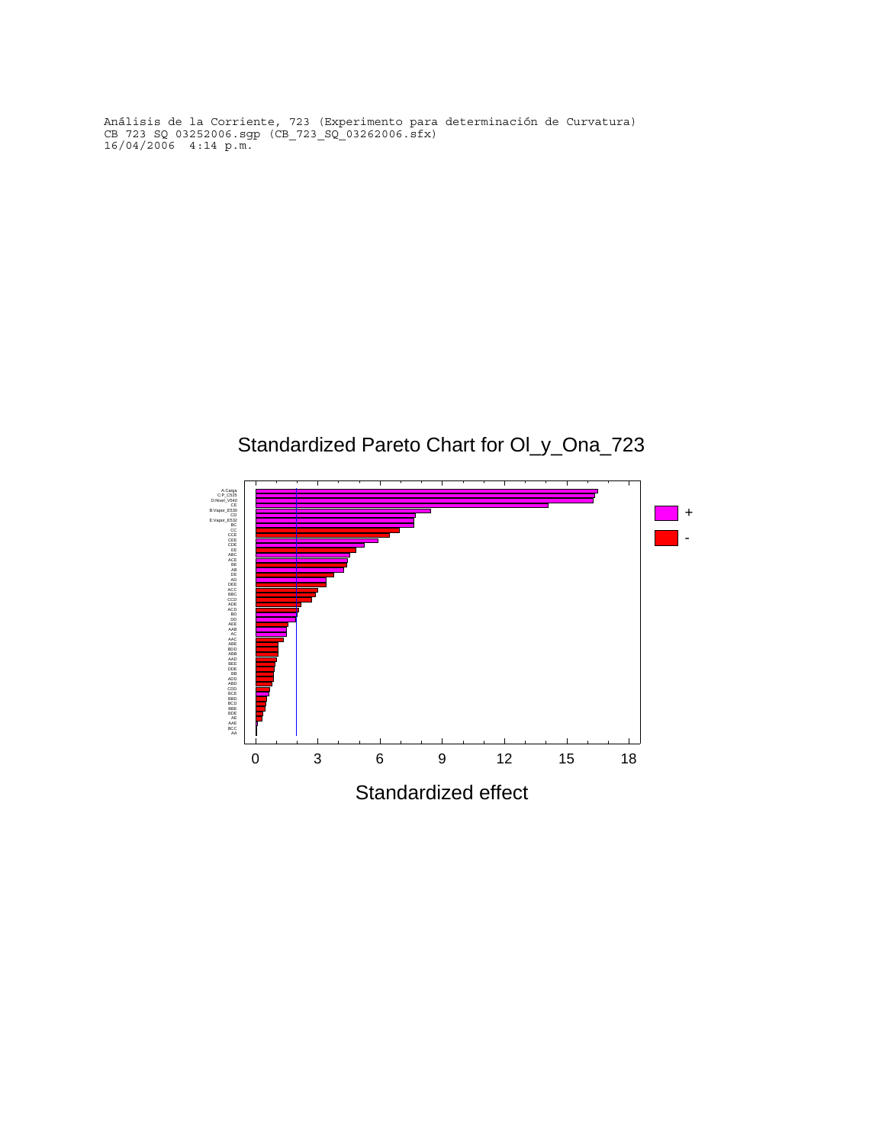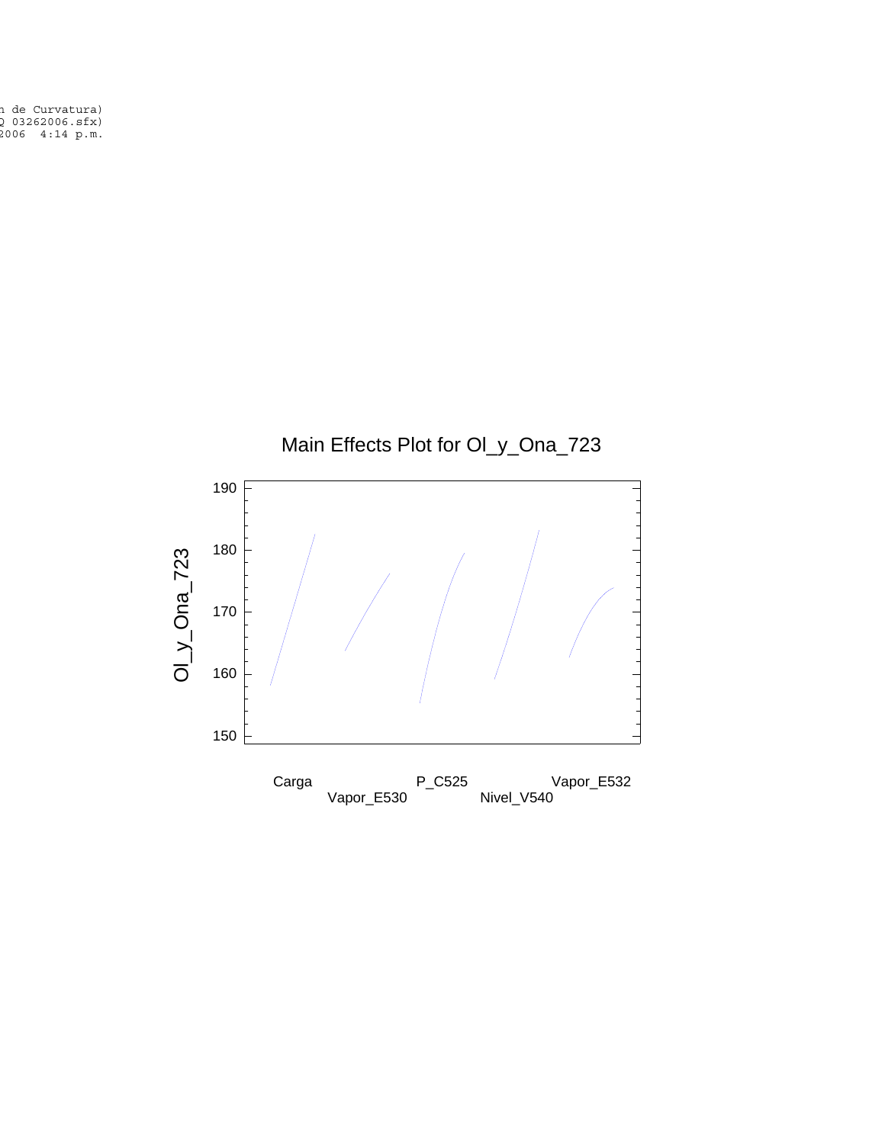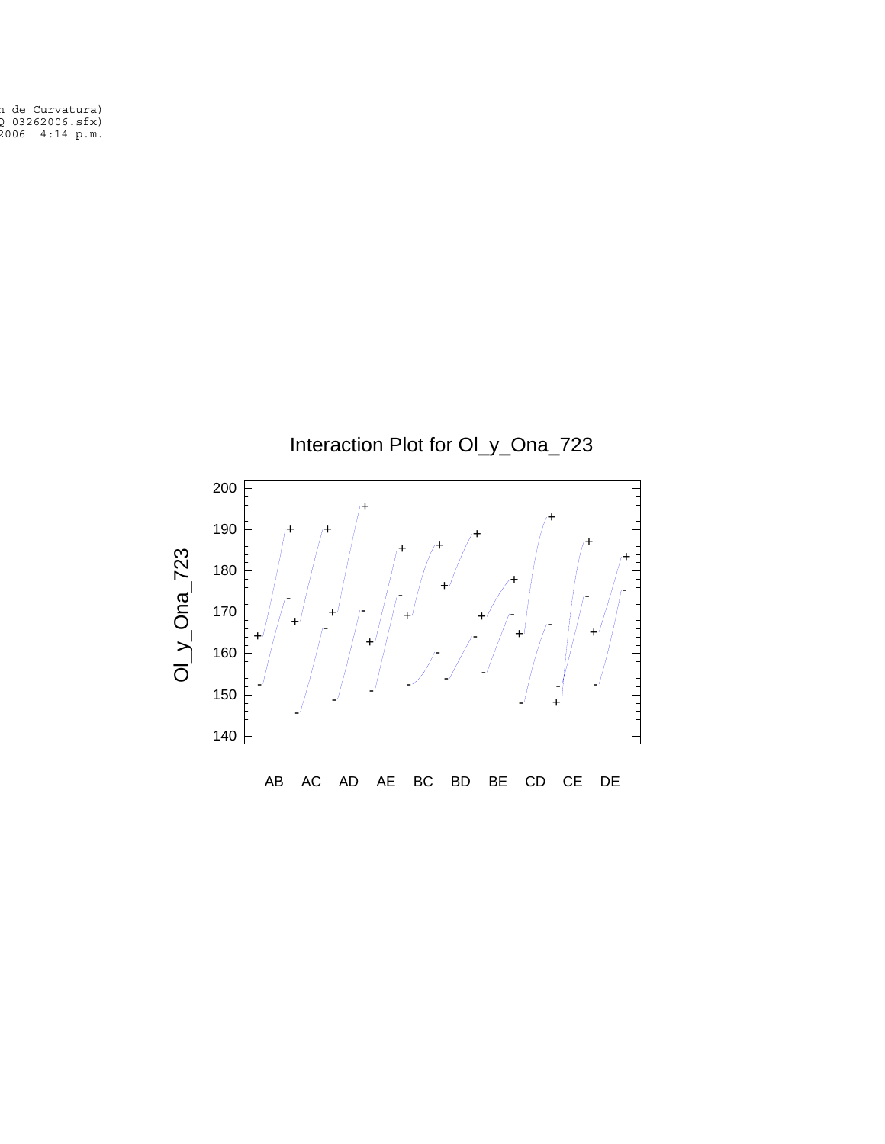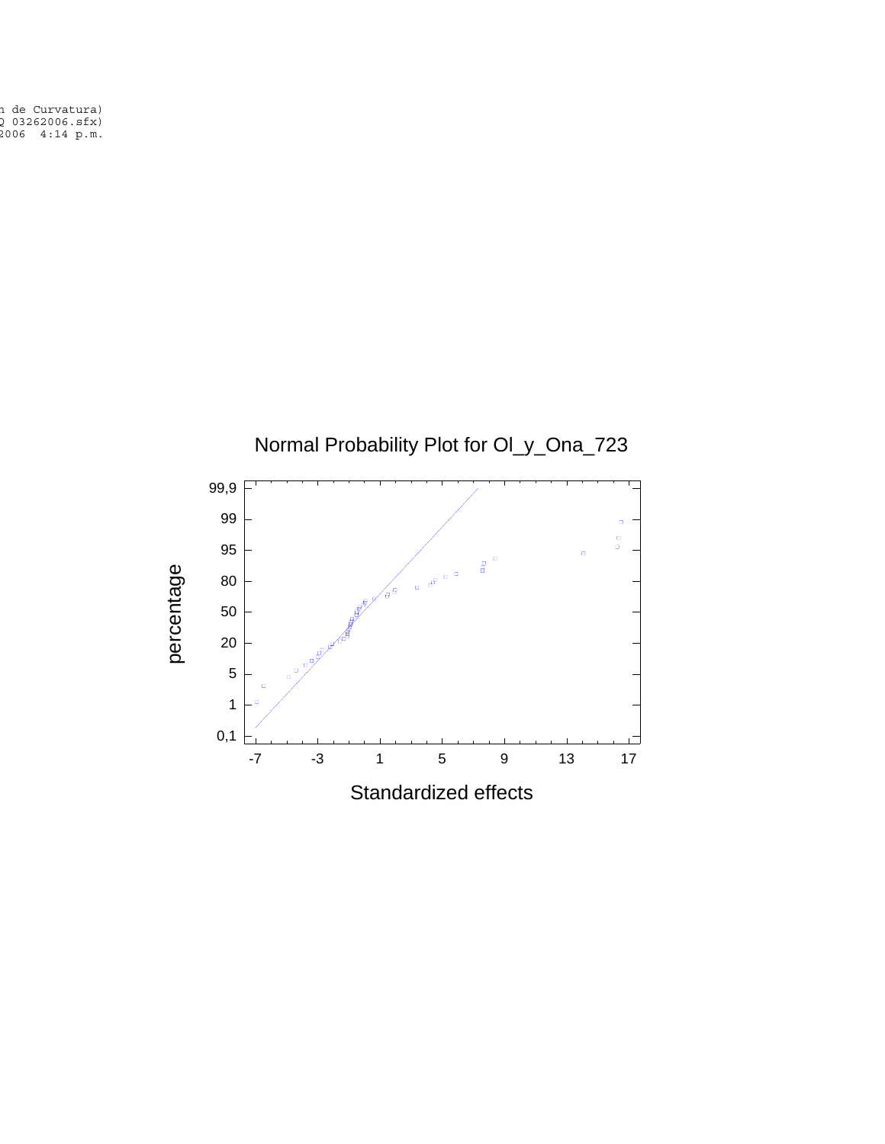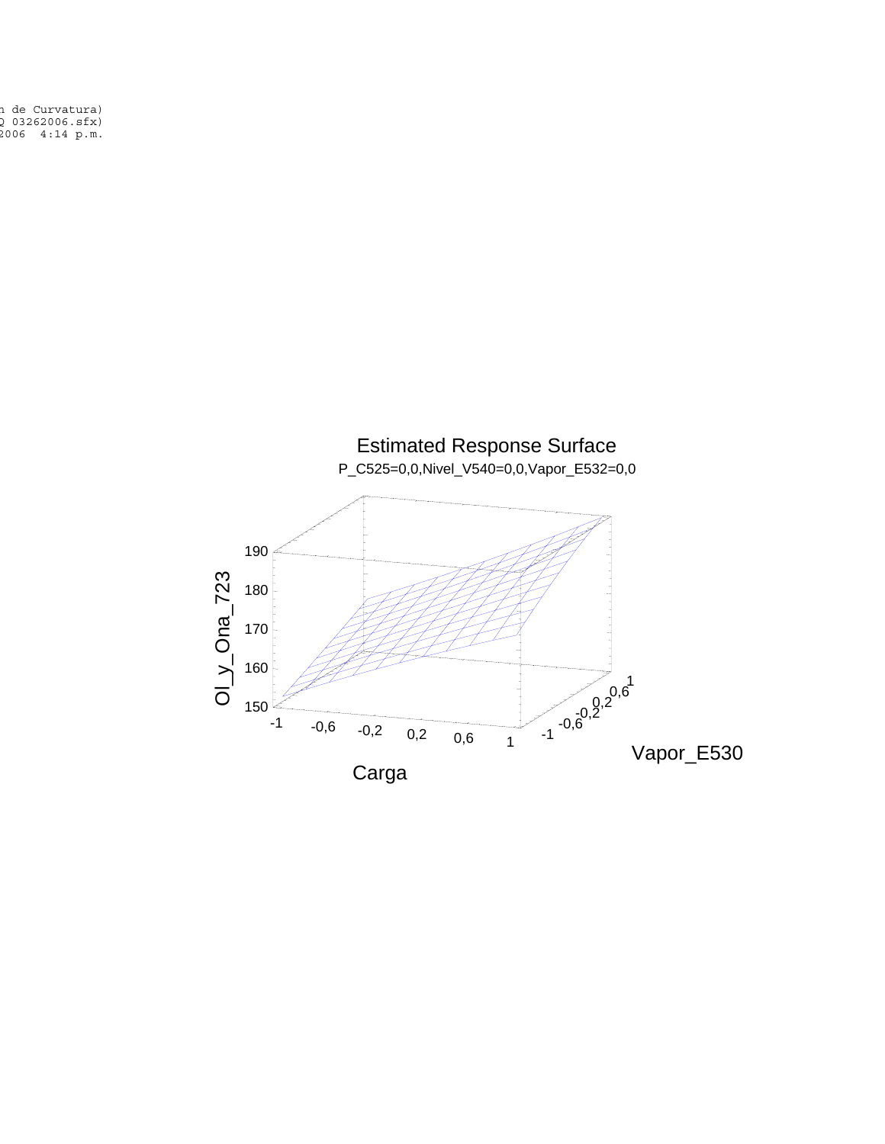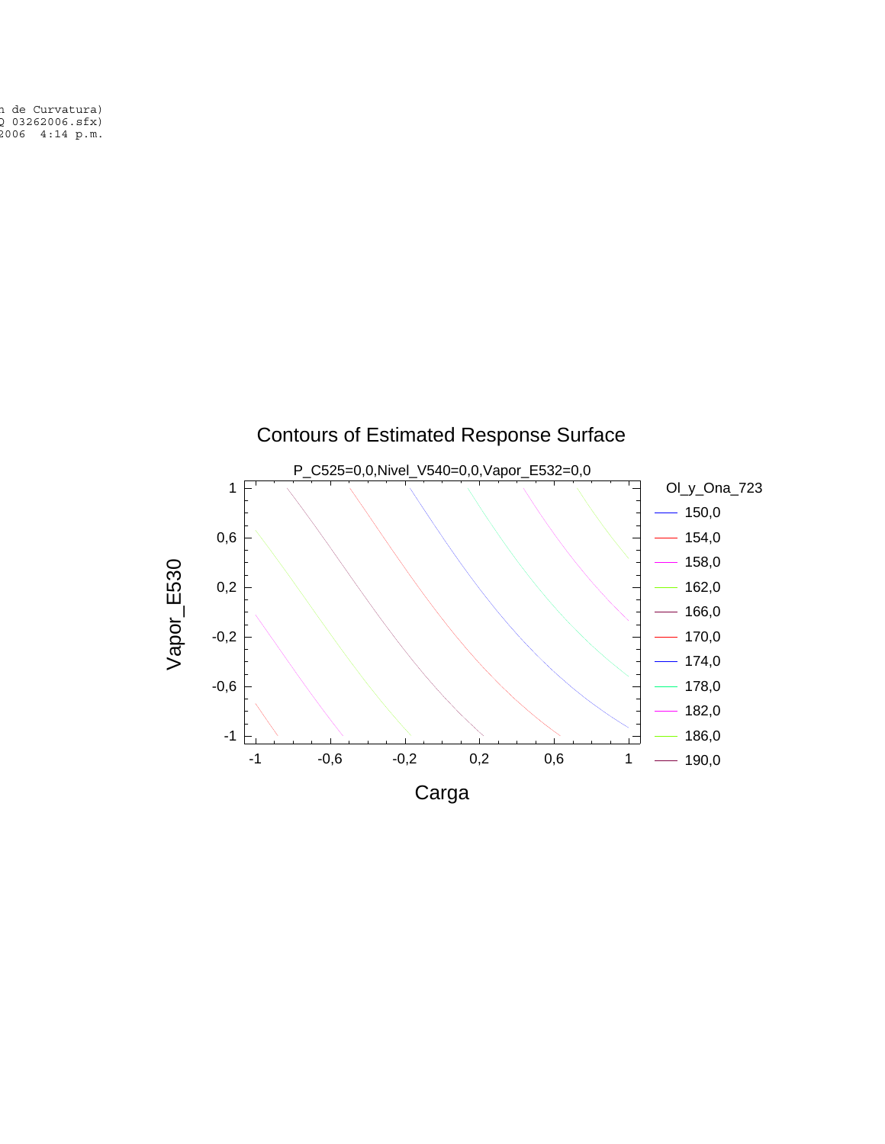